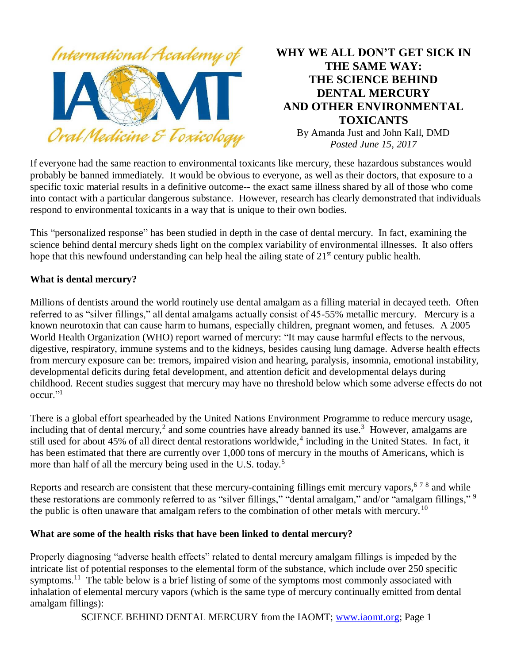

# **WHY WE ALL DON'T GET SICK IN THE SAME WAY: THE SCIENCE BEHIND DENTAL MERCURY AND OTHER ENVIRONMENTAL TOXICANTS**

By Amanda Just and John Kall, DMD *Posted June 15, 2017*

If everyone had the same reaction to environmental toxicants like mercury, these hazardous substances would probably be banned immediately. It would be obvious to everyone, as well as their doctors, that exposure to a specific toxic material results in a definitive outcome-- the exact same illness shared by all of those who come into contact with a particular dangerous substance. However, research has clearly demonstrated that individuals respond to environmental toxicants in a way that is unique to their own bodies.

This "personalized response" has been studied in depth in the case of dental mercury. In fact, examining the science behind dental mercury sheds light on the complex variability of environmental illnesses. It also offers hope that this newfound understanding can help heal the ailing state of  $21<sup>st</sup>$  century public health.

## **What is dental mercury?**

Millions of dentists around the world routinely use dental amalgam as a filling material in decayed teeth. Often referred to as "silver fillings," all dental amalgams actually consist of 45-55% metallic mercury. Mercury is a known neurotoxin that can cause harm to humans, especially children, pregnant women, and fetuses. A 2005 World Health Organization (WHO) report warned of mercury: "It may cause harmful effects to the nervous, digestive, respiratory, immune systems and to the kidneys, besides causing lung damage. Adverse health effects from mercury exposure can be: tremors, impaired vision and hearing, paralysis, insomnia, emotional instability, developmental deficits during fetal development, and attention deficit and developmental delays during childhood. Recent studies suggest that mercury may have no threshold below which some adverse effects do not occur." 1

There is a global effort spearheaded by the United Nations Environment Programme to reduce mercury usage, including that of dental mercury,<sup>2</sup> and some countries have already banned its use.<sup>3</sup> However, amalgams are still used for about 45% of all direct dental restorations worldwide,<sup>4</sup> including in the United States. In fact, it has been estimated that there are currently over 1,000 tons of mercury in the mouths of Americans, which is more than half of all the mercury being used in the U.S. today.<sup>5</sup>

Reports and research are consistent that these mercury-containing fillings emit mercury vapors,  $678$  and while these restorations are commonly referred to as "silver fillings," "dental amalgam," and/or "amalgam fillings," <sup>9</sup> the public is often unaware that amalgam refers to the combination of other metals with mercury.<sup>10</sup>

#### **What are some of the health risks that have been linked to dental mercury?**

Properly diagnosing "adverse health effects" related to dental mercury amalgam fillings is impeded by the intricate list of potential responses to the elemental form of the substance, which include over 250 specific symptoms.<sup>11</sup> The table below is a brief listing of some of the symptoms most commonly associated with inhalation of elemental mercury vapors (which is the same type of mercury continually emitted from dental amalgam fillings):

SCIENCE BEHIND DENTAL MERCURY from the IAOMT; [www.iaomt.org;](http://www.iaomt.org/) Page 1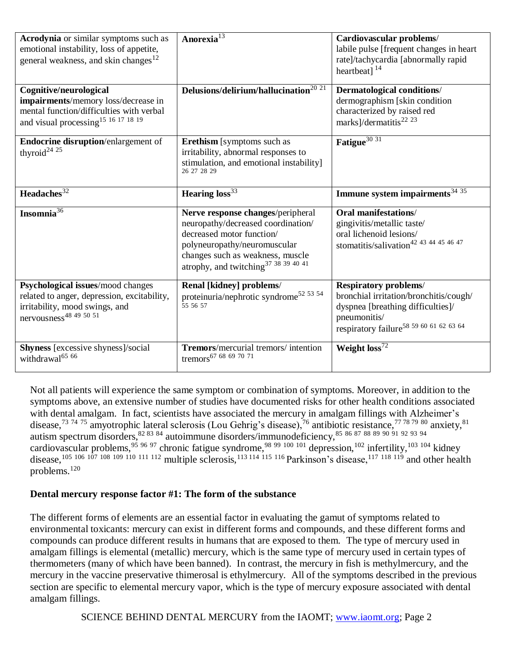| <b>Acrodynia</b> or similar symptoms such as<br>emotional instability, loss of appetite,<br>general weakness, and skin changes <sup>12</sup>                 | Anorexia $\overline{a^{13}}$                                                                                                                                                                                            | Cardiovascular problems/<br>labile pulse [frequent changes in heart]<br>rate]/tachycardia [abnormally rapid<br>heartbeat] $^{14}$                                                  |
|--------------------------------------------------------------------------------------------------------------------------------------------------------------|-------------------------------------------------------------------------------------------------------------------------------------------------------------------------------------------------------------------------|------------------------------------------------------------------------------------------------------------------------------------------------------------------------------------|
| Cognitive/neurological<br>impairments/memory loss/decrease in<br>mental function/difficulties with verbal<br>and visual processing <sup>15</sup> 16 17 18 19 | Delusions/delirium/hallucination <sup>20</sup> <sup>21</sup>                                                                                                                                                            | Dermatological conditions/<br>dermographism [skin condition<br>characterized by raised red<br>marks]/dermatitis <sup>22</sup> <sup>23</sup>                                        |
| Endocrine disruption/enlargement of<br>thyroid <sup>24</sup> <sup>25</sup>                                                                                   | <b>Erethism</b> [symptoms such as<br>irritability, abnormal responses to<br>stimulation, and emotional instability]<br>26 27 28 29                                                                                      | Fatigue <sup>30 31</sup>                                                                                                                                                           |
| Headaches <sup>32</sup>                                                                                                                                      | Hearing loss <sup>33</sup>                                                                                                                                                                                              | Immune system impairments $34\overline{35}$                                                                                                                                        |
| Insomnia <sup>36</sup>                                                                                                                                       | Nerve response changes/peripheral<br>neuropathy/decreased coordination/<br>decreased motor function/<br>polyneuropathy/neuromuscular<br>changes such as weakness, muscle<br>atrophy, and twitching $37\,38\,39\,40\,41$ | Oral manifestations/<br>gingivitis/metallic taste/<br>oral lichenoid lesions/<br>stomatitis/salivation <sup>42</sup> 43 44 45 46 47                                                |
| Psychological issues/mood changes<br>related to anger, depression, excitability,<br>irritability, mood swings, and<br>nervousness <sup>48</sup> 49 50 51     | Renal [kidney] problems/<br>proteinuria/nephrotic syndrome <sup>52 53 54</sup><br>55 56 57                                                                                                                              | <b>Respiratory problems/</b><br>bronchial irritation/bronchitis/cough/<br>dyspnea [breathing difficulties]/<br>pneumonitis/<br>respiratory failure <sup>58</sup> 59 60 61 62 63 64 |
| Shyness [excessive shyness]/social<br>withdrawal <sup>65</sup> 66                                                                                            | Tremors/mercurial tremors/intention<br>tremors <sup>67</sup> 68 69 70 71                                                                                                                                                | Weight $loss^{72}$                                                                                                                                                                 |

Not all patients will experience the same symptom or combination of symptoms. Moreover, in addition to the symptoms above, an extensive number of studies have documented risks for other health conditions associated with dental amalgam. In fact, scientists have associated the mercury in amalgam fillings with Alzheimer's disease,<sup>73 74 75</sup> amyotrophic lateral sclerosis (Lou Gehrig's disease),<sup>76</sup> antibiotic resistance,<sup>77 78 79</sup> 80 anxiety,<sup>81</sup> autism spectrum disorders,  $82\,83\,84$  autoimmune disorders/immunodeficiency,  $85\,86\,87\,88\,89\,90\,91\,92\,93\,94$ cardiovascular problems, <sup>95 96 97</sup> chronic fatigue syndrome, <sup>98 99 100 101</sup> depression, <sup>102</sup> infertility, <sup>103 104</sup> kidney disease,<sup>105 106 107 108 109 110 111 112</sup> multiple sclerosis,<sup>113 114 115 116</sup> Parkinson's disease,<sup>117 118 119</sup> and other health problems.<sup>120</sup>

#### **Dental mercury response factor #1: The form of the substance**

The different forms of elements are an essential factor in evaluating the gamut of symptoms related to environmental toxicants: mercury can exist in different forms and compounds, and these different forms and compounds can produce different results in humans that are exposed to them. The type of mercury used in amalgam fillings is elemental (metallic) mercury, which is the same type of mercury used in certain types of thermometers (many of which have been banned). In contrast, the mercury in fish is methylmercury, and the mercury in the vaccine preservative thimerosal is ethylmercury. All of the symptoms described in the previous section are specific to elemental mercury vapor, which is the type of mercury exposure associated with dental amalgam fillings.

SCIENCE BEHIND DENTAL MERCURY from the IAOMT; [www.iaomt.org;](http://www.iaomt.org/) Page 2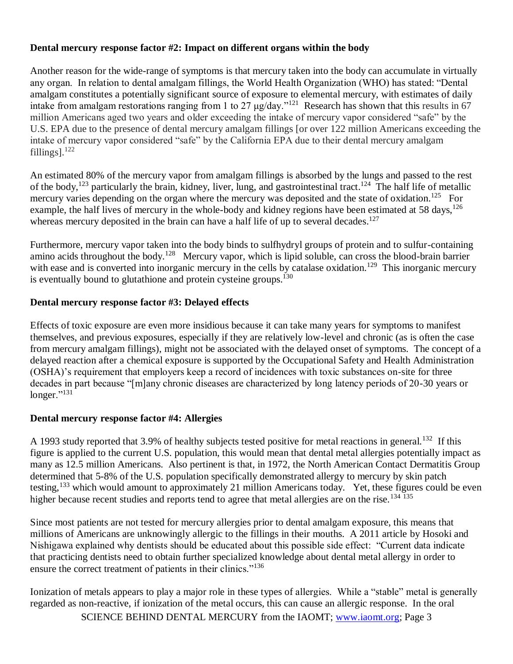#### **Dental mercury response factor #2: Impact on different organs within the body**

Another reason for the wide-range of symptoms is that mercury taken into the body can accumulate in virtually any organ. In relation to dental amalgam fillings, the World Health Organization (WHO) has stated: "Dental amalgam constitutes a potentially significant source of exposure to elemental mercury, with estimates of daily intake from amalgam restorations ranging from 1 to 27 μg/day."<sup>121</sup> Research has shown that this results in 67 million Americans aged two years and older exceeding the intake of mercury vapor considered "safe" by the U.S. EPA due to the presence of dental mercury amalgam fillings [or over 122 million Americans exceeding the intake of mercury vapor considered "safe" by the California EPA due to their dental mercury amalgam fillings]. $122$ 

An estimated 80% of the mercury vapor from amalgam fillings is absorbed by the lungs and passed to the rest of the body,<sup>123</sup> particularly the brain, kidney, liver, lung, and gastrointestinal tract.<sup>124</sup> The half life of metallic mercury varies depending on the organ where the mercury was deposited and the state of oxidation.<sup>125</sup> For example, the half lives of mercury in the whole-body and kidney regions have been estimated at 58 days,<sup>126</sup> whereas mercury deposited in the brain can have a half life of up to several decades.<sup>127</sup>

Furthermore, mercury vapor taken into the body binds to sulfhydryl groups of protein and to sulfur-containing amino acids throughout the body.<sup>128</sup> Mercury vapor, which is lipid soluble, can cross the blood-brain barrier with ease and is converted into inorganic mercury in the cells by catalase oxidation.<sup>129</sup> This inorganic mercury is eventually bound to glutathione and protein cysteine groups.<sup>130</sup>

#### **Dental mercury response factor #3: Delayed effects**

Effects of toxic exposure are even more insidious because it can take many years for symptoms to manifest themselves, and previous exposures, especially if they are relatively low-level and chronic (as is often the case from mercury amalgam fillings), might not be associated with the delayed onset of symptoms. The concept of a delayed reaction after a chemical exposure is supported by the Occupational Safety and Health Administration (OSHA)'s requirement that employers keep a record of incidences with toxic substances on-site for three decades in part because "[m]any chronic diseases are characterized by long latency periods of 20-30 years or  $longer.<sup>9131</sup>$ 

#### **Dental mercury response factor #4: Allergies**

A 1993 study reported that 3.9% of healthy subjects tested positive for metal reactions in general.<sup>132</sup> If this figure is applied to the current U.S. population, this would mean that dental metal allergies potentially impact as many as 12.5 million Americans. Also pertinent is that, in 1972, the North American Contact Dermatitis Group determined that 5-8% of the U.S. population specifically demonstrated allergy to mercury by skin patch testing,<sup>133</sup> which would amount to approximately 21 million Americans today. Yet, these figures could be even higher because recent studies and reports tend to agree that metal allergies are on the rise.<sup>134 135</sup>

Since most patients are not tested for mercury allergies prior to dental amalgam exposure, this means that millions of Americans are unknowingly allergic to the fillings in their mouths. A 2011 article by Hosoki and Nishigawa explained why dentists should be educated about this possible side effect: "Current data indicate that practicing dentists need to obtain further specialized knowledge about dental metal allergy in order to ensure the correct treatment of patients in their clinics."<sup>136</sup>

Ionization of metals appears to play a major role in these types of allergies. While a "stable" metal is generally regarded as non-reactive, if ionization of the metal occurs, this can cause an allergic response. In the oral

SCIENCE BEHIND DENTAL MERCURY from the IAOMT; [www.iaomt.org;](http://www.iaomt.org/) Page 3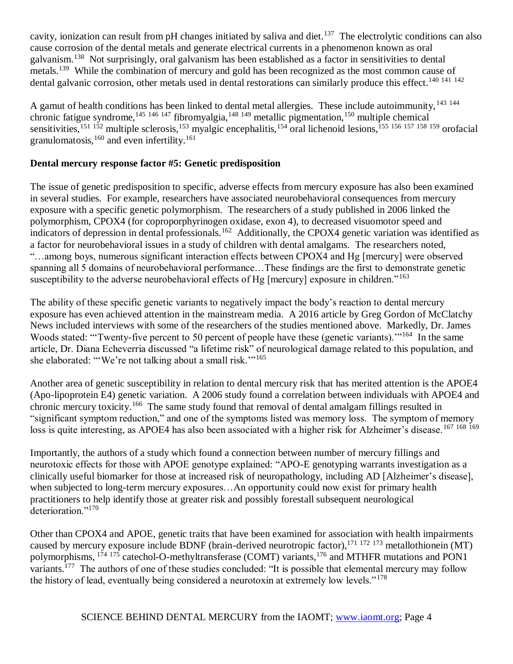cavity, ionization can result from pH changes initiated by saliva and diet.<sup>137</sup> The electrolytic conditions can also cause corrosion of the dental metals and generate electrical currents in a phenomenon known as oral galvanism.<sup>138</sup> Not surprisingly, oral galvanism has been established as a factor in sensitivities to dental metals.<sup>139</sup> While the combination of mercury and gold has been recognized as the most common cause of dental galvanic corrosion, other metals used in dental restorations can similarly produce this effect.<sup>140 141 142</sup>

A gamut of health conditions has been linked to dental metal allergies. These include autoimmunity, <sup>143</sup> <sup>144</sup> chronic fatigue syndrome,<sup>145 146 147</sup> fibromyalgia,<sup>148 149</sup> metallic pigmentation,<sup>150</sup> multiple chemical sensitivities,<sup>151 152</sup> multiple sclerosis,<sup>153</sup> myalgic encephalitis,<sup>154</sup> oral lichenoid lesions,<sup>155 156 157 158 159</sup> orofacial granulomatosis,<sup>160</sup> and even infertility.<sup>161</sup>

## **Dental mercury response factor #5: Genetic predisposition**

The issue of genetic predisposition to specific, adverse effects from mercury exposure has also been examined in several studies. For example, researchers have associated neurobehavioral consequences from mercury exposure with a specific genetic polymorphism. The researchers of a study published in 2006 linked the polymorphism, CPOX4 (for coproporphyrinogen oxidase, exon 4), to decreased visuomotor speed and indicators of depression in dental professionals.<sup>162</sup> Additionally, the CPOX4 genetic variation was identified as a factor for neurobehavioral issues in a study of children with dental amalgams. The researchers noted, "…among boys, numerous significant interaction effects between CPOX4 and Hg [mercury] were observed spanning all 5 domains of neurobehavioral performance…These findings are the first to demonstrate genetic susceptibility to the adverse neurobehavioral effects of Hg [mercury] exposure in children."<sup>163</sup>

The ability of these specific genetic variants to negatively impact the body's reaction to dental mercury exposure has even achieved attention in the mainstream media. A 2016 article by Greg Gordon of McClatchy News included interviews with some of the researchers of the studies mentioned above. Markedly, Dr. James Woods stated: "Twenty-five percent to 50 percent of people have these (genetic variants)."<sup>164</sup> In the same article, Dr. Diana Echeverria discussed "a lifetime risk" of neurological damage related to this population, and she elaborated: ""We're not talking about a small risk."<sup>165</sup>

Another area of genetic susceptibility in relation to dental mercury risk that has merited attention is the APOE4 (Apo-lipoprotein E4) genetic variation. A 2006 study found a correlation between individuals with APOE4 and chronic mercury toxicity.<sup>166</sup> The same study found that removal of dental amalgam fillings resulted in "significant symptom reduction," and one of the symptoms listed was memory loss. The symptom of memory loss is quite interesting, as APOE4 has also been associated with a higher risk for Alzheimer's disease.<sup>167 168 169</sup>

Importantly, the authors of a study which found a connection between number of mercury fillings and neurotoxic effects for those with APOE genotype explained: "APO-E genotyping warrants investigation as a clinically useful biomarker for those at increased risk of neuropathology, including AD [Alzheimer's disease], when subjected to long-term mercury exposures…An opportunity could now exist for primary health practitioners to help identify those at greater risk and possibly forestall subsequent neurological deterioration."<sup>170</sup>

Other than CPOX4 and APOE, genetic traits that have been examined for association with health impairments caused by mercury exposure include BDNF (brain-derived neurotropic factor),<sup>171</sup> <sup>172</sup> <sup>173</sup> metallothionein (MT) polymorphisms, <sup>174 175</sup> catechol-O-methyltransferase (COMT) variants,<sup>176</sup> and MTHFR mutations and PON1 variants.<sup>177</sup> The authors of one of these studies concluded: "It is possible that elemental mercury may follow the history of lead, eventually being considered a neurotoxin at extremely low levels."<sup>178</sup>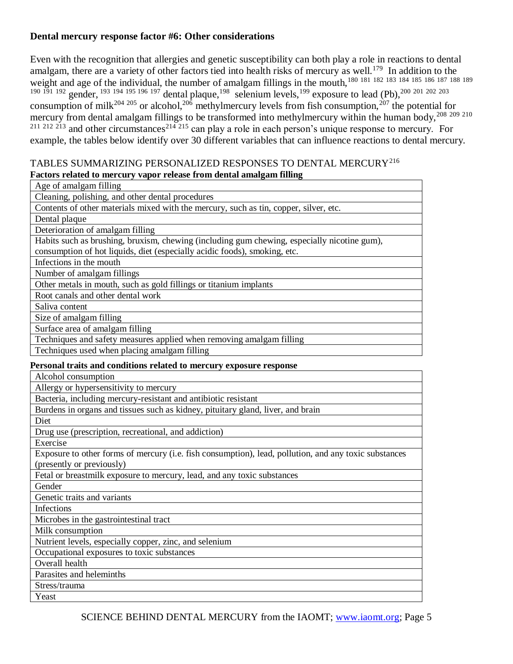#### **Dental mercury response factor #6: Other considerations**

Even with the recognition that allergies and genetic susceptibility can both play a role in reactions to dental amalgam, there are a variety of other factors tied into health risks of mercury as well.<sup>179</sup> In addition to the weight and age of the individual, the number of amalgam fillings in the mouth,<sup>180 181 182 183 184 185 186 187</sup> 188 189 <sup>190 191 192</sup> gender, <sup>193 194 195 196 197</sup> dental plaque, <sup>198</sup> selenium levels, <sup>199</sup> exposure to lead (Pb), <sup>200 201 202 203</sup> consumption of milk<sup>204 205</sup> or alcohol,<sup>206</sup> methylmercury levels from fish consumption,<sup>207</sup> the potential for mercury from dental amalgam fillings to be transformed into methylmercury within the human body,<sup>208</sup><sup>209</sup><sup>210</sup>  $2^{11}$   $2^{12}$   $2^{13}$  and other circumstances<sup>214 215</sup> can play a role in each person's unique response to mercury. For example, the tables below identify over 30 different variables that can influence reactions to dental mercury.

#### TABLES SUMMARIZING PERSONALIZED RESPONSES TO DENTAL MERCURY<sup>216</sup> **Factors related to mercury vapor release from dental amalgam filling**

|               | гассогэ гегатса то тегеигу тарог тегеаэс нотп аснаа анагдангтний                                                                   |  |  |
|---------------|------------------------------------------------------------------------------------------------------------------------------------|--|--|
|               | Age of amalgam filling                                                                                                             |  |  |
|               | Cleaning, polishing, and other dental procedures                                                                                   |  |  |
|               | Contents of other materials mixed with the mercury, such as tin, copper, silver, etc.                                              |  |  |
| Dental plaque |                                                                                                                                    |  |  |
|               | Deterioration of amalgam filling                                                                                                   |  |  |
|               | Habits such as brushing, bruxism, chewing (including gum chewing, especially nicotine gum),                                        |  |  |
|               | consumption of hot liquids, diet (especially acidic foods), smoking, etc.                                                          |  |  |
|               | Infections in the mouth                                                                                                            |  |  |
|               | Number of amalgam fillings                                                                                                         |  |  |
|               | Other metals in mouth, such as gold fillings or titanium implants                                                                  |  |  |
|               | Root canals and other dental work                                                                                                  |  |  |
|               | Saliva content                                                                                                                     |  |  |
|               | Size of amalgam filling                                                                                                            |  |  |
|               | Surface area of amalgam filling                                                                                                    |  |  |
|               | Techniques and safety measures applied when removing amalgam filling                                                               |  |  |
|               | Techniques used when placing amalgam filling                                                                                       |  |  |
|               | Personal traits and conditions related to mercury exposure response                                                                |  |  |
|               | Alcohol consumption                                                                                                                |  |  |
|               | Allergy or hypersensitivity to mercury                                                                                             |  |  |
|               | Bacteria, including mercury-resistant and antibiotic resistant                                                                     |  |  |
|               | Burdens in organs and tissues such as kidney, pituitary gland, liver, and brain                                                    |  |  |
|               | Diet                                                                                                                               |  |  |
|               | Drug use (prescription, recreational, and addiction)                                                                               |  |  |
|               | Exercise                                                                                                                           |  |  |
|               | Exposure to other forms of mercury (i.e. fish consumption), lead, pollution, and any toxic substances<br>(presently or previously) |  |  |
|               | Fetal or breastmilk exposure to mercury, lead, and any toxic substances                                                            |  |  |
|               | Gender                                                                                                                             |  |  |
|               | Genetic traits and variants                                                                                                        |  |  |
|               | Infections                                                                                                                         |  |  |
|               | Microbes in the gastrointestinal tract                                                                                             |  |  |
|               | Milk consumption                                                                                                                   |  |  |
|               | Nutrient levels, especially copper, zinc, and selenium                                                                             |  |  |
|               | Occupational exposures to toxic substances                                                                                         |  |  |
|               | Overall health                                                                                                                     |  |  |
|               | Parasites and heleminths                                                                                                           |  |  |
|               | Stress/trauma                                                                                                                      |  |  |
|               | Yeast                                                                                                                              |  |  |
|               |                                                                                                                                    |  |  |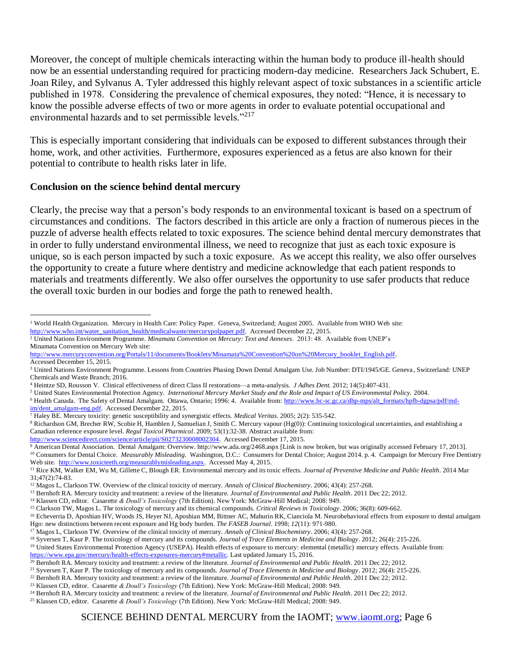Moreover, the concept of multiple chemicals interacting within the human body to produce ill-health should now be an essential understanding required for practicing modern-day medicine. Researchers Jack Schubert, E. Joan Riley, and Sylvanus A. Tyler addressed this highly relevant aspect of toxic substances in a scientific article published in 1978. Considering the prevalence of chemical exposures, they noted: "Hence, it is necessary to know the possible adverse effects of two or more agents in order to evaluate potential occupational and environmental hazards and to set permissible levels."<sup>217</sup>

This is especially important considering that individuals can be exposed to different substances through their home, work, and other activities. Furthermore, exposures experienced as a fetus are also known for their potential to contribute to health risks later in life.

#### **Conclusion on the science behind dental mercury**

Clearly, the precise way that a person's body responds to an environmental toxicant is based on a spectrum of circumstances and conditions. The factors described in this article are only a fraction of numerous pieces in the puzzle of adverse health effects related to toxic exposures. The science behind dental mercury demonstrates that in order to fully understand environmental illness, we need to recognize that just as each toxic exposure is unique, so is each person impacted by such a toxic exposure. As we accept this reality, we also offer ourselves the opportunity to create a future where dentistry and medicine acknowledge that each patient responds to materials and treatments differently. We also offer ourselves the opportunity to use safer products that reduce the overall toxic burden in our bodies and forge the path to renewed health.

[http://www.sciencedirect.com/science/article/pii/S0273230008002304.](http://www.sciencedirect.com/science/article/pii/S0273230008002304) Accessed December 17, 2015.

<sup>&</sup>lt;sup>1</sup> World Health Organization. Mercury in Health Care: Policy Paper. Geneva, Switzerland; August 2005. Available from WHO Web site: [http://www.who.int/water\\_sanitation\\_health/medicalwaste/mercurypolpaper.pdf.](http://www.who.int/water_sanitation_health/medicalwaste/mercurypolpaper.pdf) Accessed December 22, 2015.  $\overline{a}$ 

<sup>2</sup> United Nations Environment Programme. *Minamata Convention on Mercury: Text and Annexes*. 2013: 48. Available from UNEP's Minamata Convention on Mercury Web site:

[http://www.mercuryconvention.org/Portals/11/documents/Booklets/Minamata%20Convention%20on%20Mercury\\_booklet\\_English.pdf.](http://www.mercuryconvention.org/Portals/11/documents/Booklets/Minamata%20Convention%20on%20Mercury_booklet_English.pdf)  Accessed December 15, 2015.

<sup>3</sup> United Nations Environment Programme. Lessons from Countries Phasing Down Dental Amalgam Use. Job Number: DTI/1945/GE. Geneva , Switzerland: UNEP Chemicals and Waste Branch; 2016.

<sup>4</sup> Heintze SD, Rousson V. Clinical effectiveness of direct Class II restorations—a meta-analysis. *J Adhes Dent.* 2012; 14(5):407-431.

<sup>5</sup> United States Environmental Protection Agency. *International Mercury Market Study and the Role and Impact of US Environmental Policy.* 2004.

<sup>&</sup>lt;sup>6</sup> Health Canada. The Safety of Dental Amalgam. Ottawa, Ontario; 1996: 4. Available from: [http://www.hc-sc.gc.ca/dhp-mps/alt\\_formats/hpfb-dgpsa/pdf/md](http://www.hc-sc.gc.ca/dhp-mps/alt_formats/hpfb-dgpsa/pdf/md-im/dent_amalgam-eng.pdf)[im/dent\\_amalgam-eng.pdf.](http://www.hc-sc.gc.ca/dhp-mps/alt_formats/hpfb-dgpsa/pdf/md-im/dent_amalgam-eng.pdf) Accessed December 22, 2015.

<sup>7</sup> Haley BE. Mercury toxicity: genetic susceptibility and synergistic effects. *Medical Veritas.* 2005; 2(2): 535-542.

<sup>8</sup> Richardson GM, Brecher RW, Scobie H, Hamblen J, Samuelian J, Smith C. Mercury vapour (Hg(0)): Continuing toxicological uncertainties, and establishing a Canadian reference exposure level. *Regul Toxicol Pharmicol*. 2009; 53(1):32-38. Abstract available from:

<sup>9</sup> American Dental Association. Dental Amalgam: Overview. http://www.ada.org/2468.aspx [Link is now broken, but was originally accessed February 17, 2013].

<sup>10</sup> Consumers for Dental Choice. *Measurably Misleading.* Washington, D.C.: Consumers for Dental Choice; August 2014. p. 4. Campaign for Mercury Free Dentistry Web site. [http://www.toxicteeth.org/measurablymisleading.aspx.](http://www.toxicteeth.org/measurablymisleading.aspx) Accessed May 4, 2015.

<sup>11</sup> Rice KM, Walker EM, Wu M, Gillette C, Blough ER. Environmental mercury and its toxic effects. *Journal of Preventive Medicine and Public Health*. 2014 Mar 31;47(2):74-83.

<sup>12</sup> Magos L, Clarkson TW. Overview of the clinical toxicity of mercury. *Annals of Clinical Biochemistry*. 2006; 43(4): 257-268.

<sup>13</sup> Bernhoft RA. Mercury toxicity and treatment: a review of the literature. *Journal of Environmental and Public Health*. 2011 Dec 22; 2012.

<sup>14</sup> Klassen CD, editor. Casarette *& Doull's Toxicology* (7th Edition). New York: McGraw-Hill Medical; 2008: 949.

<sup>15</sup> Clarkson TW, Magos L. The toxicology of mercury and its chemical compounds. *Critical Reviews in Toxicology*. 2006; 36(8): 609-662.

<sup>&</sup>lt;sup>16</sup> Echeverria D, Aposhian HV, Woods JS, Heyer NJ, Aposhian MM, Bittner AC, Mahurin RK, Cianciola M. Neurobehavioral effects from exposure to dental amalgam Hgo: new distinctions between recent exposure and Hg body burden. *The FASEB Journal*. 1998; *12*(11): 971-980.

<sup>17</sup> Magos L, Clarkson TW. Overview of the clinical toxicity of mercury. *Annals of Clinical Biochemistry*. 2006; 43(4): 257-268.

<sup>18</sup> Syversen T, Kaur P. The toxicology of mercury and its compounds. *Journal of Trace Elements in Medicine and Biology*. 2012; 26(4): 215-226.

<sup>&</sup>lt;sup>19</sup> United States Environmental Protection Agency (USEPA). Health effects of exposure to mercury: elemental (metallic) mercury effects. Available from: [https://www.epa.gov/mercury/health-effects-exposures-mercury#metallic.](https://www.epa.gov/mercury/health-effects-exposures-mercury#metallic) Last updated January 15, 2016.

<sup>20</sup> Bernhoft RA. Mercury toxicity and treatment: a review of the literature. *Journal of Environmental and Public Health*. 2011 Dec 22; 2012.

<sup>21</sup> Syversen T, Kaur P. The toxicology of mercury and its compounds. *Journal of Trace Elements in Medicine and Biology*. 2012; 26(4): 215-226.

<sup>22</sup> Bernhoft RA. Mercury toxicity and treatment: a review of the literature. *Journal of Environmental and Public Health*. 2011 Dec 22; 2012.

<sup>23</sup> Klassen CD, editor. Casarette *& Doull's Toxicology* (7th Edition). New York: McGraw-Hill Medical; 2008: 949.

<sup>24</sup> Bernhoft RA. Mercury toxicity and treatment: a review of the literature. *Journal of Environmental and Public Health*. 2011 Dec 22; 2012.

<sup>25</sup> Klassen CD, editor. Casarette *& Doull's Toxicology* (7th Edition). New York: McGraw-Hill Medical; 2008: 949.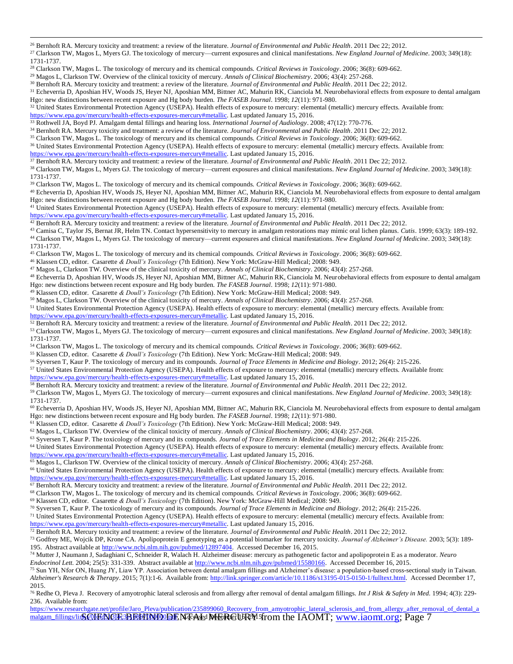- Clarkson TW, Magos L, Myers GJ. The toxicology of mercury—current exposures and clinical manifestations. *New England Journal of Medicine*. 2003; 349(18): 1731-1737.
- Clarkson TW, Magos L. The toxicology of mercury and its chemical compounds. *Critical Reviews in Toxicology*. 2006; 36(8): 609-662.
- Magos L, Clarkson TW. Overview of the clinical toxicity of mercury. *Annals of Clinical Biochemistry*. 2006; 43(4): 257-268.
- Bernhoft RA. Mercury toxicity and treatment: a review of the literature. *Journal of Environmental and Public Health*. 2011 Dec 22; 2012.
- <sup>31</sup> Echeverria D, Aposhian HV, Woods JS, Heyer NJ, Aposhian MM, Bittner AC, Mahurin RK, Cianciola M. Neurobehavioral effects from exposure to dental amalgam Hgo: new distinctions between recent exposure and Hg body burden. *The FASEB Journal*. 1998; *12*(11): 971-980.
- <sup>32</sup> United States Environmental Protection Agency (USEPA). Health effects of exposure to mercury: elemental (metallic) mercury effects. Available from:

- Rothwell JA, Boyd PJ. Amalgam dental fillings and hearing loss. *International Journal of Audiology*. 2008; 47(12): 770-776.
- Bernhoft RA. Mercury toxicity and treatment: a review of the literature. *Journal of Environmental and Public Health*. 2011 Dec 22; 2012.
- Clarkson TW, Magos L. The toxicology of mercury and its chemical compounds. *Critical Reviews in Toxicology*. 2006; 36(8): 609-662.
- <sup>36</sup> United States Environmental Protection Agency (USEPA). Health effects of exposure to mercury: elemental (metallic) mercury effects. Available from: [https://www.epa.gov/mercury/health-effects-exposures-mercury#metallic.](https://www.epa.gov/mercury/health-effects-exposures-mercury#metallic) Last updated January 15, 2016.

Bernhoft RA. Mercury toxicity and treatment: a review of the literature. *Journal of Environmental and Public Health*. 2011 Dec 22; 2012.

 Clarkson TW, Magos L, Myers GJ. The toxicology of mercury—current exposures and clinical manifestations. *New England Journal of Medicine*. 2003; 349(18): 1731-1737.

Clarkson TW, Magos L. The toxicology of mercury and its chemical compounds. *Critical Reviews in Toxicology*. 2006; 36(8): 609-662.

 Echeverria D, Aposhian HV, Woods JS, Heyer NJ, Aposhian MM, Bittner AC, Mahurin RK, Cianciola M. Neurobehavioral effects from exposure to dental amalgam Hgo: new distinctions between recent exposure and Hg body burden. *The FASEB Journal*. 1998; *12*(11): 971-980.

<sup>41</sup> United States Environmental Protection Agency (USEPA). Health effects of exposure to mercury: elemental (metallic) mercury effects. Available from:

[https://www.epa.gov/mercury/health-effects-exposures-mercury#metallic.](https://www.epa.gov/mercury/health-effects-exposures-mercury#metallic) Last updated January 15, 2016.

Bernhoft RA. Mercury toxicity and treatment: a review of the literature. *Journal of Environmental and Public Health*. 2011 Dec 22; 2012.

- Camisa C, Taylor JS, Bernat JR, Helm TN. Contact hypersensitivity to mercury in amalgam restorations may mimic oral lichen planus. *Cutis*. 1999; 63(3): 189-192. Clarkson TW, Magos L, Myers GJ. The toxicology of mercury—current exposures and clinical manifestations. *New England Journal of Medicine*. 2003; 349(18): 1731-1737.
- Clarkson TW, Magos L. The toxicology of mercury and its chemical compounds. *Critical Reviews in Toxicology*. 2006; 36(8): 609-662.
- Klassen CD, editor. Casarette *& Doull's Toxicology* (7th Edition). New York: McGraw-Hill Medical; 2008: 949.

Magos L, Clarkson TW. Overview of the clinical toxicity of mercury. *Annals of Clinical Biochemistry*. 2006; 43(4): 257-268.

 Echeverria D, Aposhian HV, Woods JS, Heyer NJ, Aposhian MM, Bittner AC, Mahurin RK, Cianciola M. Neurobehavioral effects from exposure to dental amalgam Hgo: new distinctions between recent exposure and Hg body burden. *The FASEB Journal*. 1998; *12*(11): 971-980.

Klassen CD, editor. Casarette *& Doull's Toxicology* (7th Edition). New York: McGraw-Hill Medical; 2008: 949.

Magos L, Clarkson TW. Overview of the clinical toxicity of mercury. *Annals of Clinical Biochemistry*. 2006; 43(4): 257-268.

- United States Environmental Protection Agency (USEPA). Health effects of exposure to mercury: elemental (metallic) mercury effects. Available from:
- [https://www.epa.gov/mercury/health-effects-exposures-mercury#metallic.](https://www.epa.gov/mercury/health-effects-exposures-mercury#metallic) Last updated January 15, 2016.

Bernhoft RA. Mercury toxicity and treatment: a review of the literature. *Journal of Environmental and Public Health*. 2011 Dec 22; 2012.

 Clarkson TW, Magos L, Myers GJ. The toxicology of mercury—current exposures and clinical manifestations. *New England Journal of Medicine*. 2003; 349(18): 1731-1737.

Clarkson TW, Magos L. The toxicology of mercury and its chemical compounds. *Critical Reviews in Toxicology*. 2006; 36(8): 609-662.

- Klassen CD, editor. Casarette *& Doull's Toxicology* (7th Edition). New York: McGraw-Hill Medical; 2008: 949.
- Syversen T, Kaur P. The toxicology of mercury and its compounds. *Journal of Trace Elements in Medicine and Biology*. 2012; 26(4): 215-226.
- United States Environmental Protection Agency (USEPA). Health effects of exposure to mercury: elemental (metallic) mercury effects. Available from:

[https://www.epa.gov/mercury/health-effects-exposures-mercury#metallic.](https://www.epa.gov/mercury/health-effects-exposures-mercury#metallic) Last updated January 15, 2016.

Bernhoft RA. Mercury toxicity and treatment: a review of the literature. *Journal of Environmental and Public Health*. 2011 Dec 22; 2012.

- Clarkson TW, Magos L, Myers GJ. The toxicology of mercury—current exposures and clinical manifestations. *New England Journal of Medicine*. 2003; 349(18): 1731-1737.
- Echeverria D, Aposhian HV, Woods JS, Heyer NJ, Aposhian MM, Bittner AC, Mahurin RK, Cianciola M. Neurobehavioral effects from exposure to dental amalgam Hgo: new distinctions between recent exposure and Hg body burden. *The FASEB Journal*. 1998; *12*(11): 971-980.

Klassen CD, editor. Casarette *& Doull's Toxicology* (7th Edition). New York: McGraw-Hill Medical; 2008: 949.

Magos L, Clarkson TW. Overview of the clinical toxicity of mercury. *Annals of Clinical Biochemistry*. 2006; 43(4): 257-268.

Syversen T, Kaur P. The toxicology of mercury and its compounds. *Journal of Trace Elements in Medicine and Biology*. 2012; 26(4): 215-226.

United States Environmental Protection Agency (USEPA). Health effects of exposure to mercury: elemental (metallic) mercury effects. Available from:

[https://www.epa.gov/mercury/health-effects-exposures-mercury#metallic.](https://www.epa.gov/mercury/health-effects-exposures-mercury#metallic) Last updated January 15, 2016.

Magos L, Clarkson TW. Overview of the clinical toxicity of mercury. *Annals of Clinical Biochemistry*. 2006; 43(4): 257-268.

 United States Environmental Protection Agency (USEPA). Health effects of exposure to mercury: elemental (metallic) mercury effects. Available from: [https://www.epa.gov/mercury/health-effects-exposures-mercury#metallic.](https://www.epa.gov/mercury/health-effects-exposures-mercury#metallic) Last updated January 15, 2016.

Bernhoft RA. Mercury toxicity and treatment: a review of the literature. *Journal of Environmental and Public Health*. 2011 Dec 22; 2012.

Clarkson TW, Magos L. The toxicology of mercury and its chemical compounds. *Critical Reviews in Toxicology*. 2006; 36(8): 609-662.

Klassen CD, editor. Casarette *& Doull's Toxicology* (7th Edition). New York: McGraw-Hill Medical; 2008: 949.

Syversen T, Kaur P. The toxicology of mercury and its compounds. *Journal of Trace Elements in Medicine and Biology*. 2012; 26(4): 215-226.

 United States Environmental Protection Agency (USEPA). Health effects of exposure to mercury: elemental (metallic) mercury effects. Available from: [https://www.epa.gov/mercury/health-effects-exposures-mercury#metallic.](https://www.epa.gov/mercury/health-effects-exposures-mercury#metallic) Last updated January 15, 2016.

Bernhoft RA. Mercury toxicity and treatment: a review of the literature. *Journal of Environmental and Public Health*. 2011 Dec 22; 2012.

 Godfrey ME, Wojcik DP, Krone CA. Apolipoprotein E genotyping as a potential biomarker for mercury toxicity. *Journal of Alzheimer's Disease.* 2003; 5(3): 189- 195. Abstract available at [http://www.ncbi.nlm.nih.gov/pubmed/12897404.](http://www.ncbi.nlm.nih.gov/pubmed/12897404) Accessed December 16, 2015.

 Mutter J, Naumann J, Sadaghiani C, Schneider R, Walach H. Alzheimer disease: mercury as pathogenetic factor and apolipoprotein E as a moderator. *Neuro Endocrinol Lett.* 2004; 25(5): 331-339. Abstract available a[t http://www.ncbi.nlm.nih.gov/pubmed/15580166.](http://www.ncbi.nlm.nih.gov/pubmed/15580166) Accessed December 16, 2015.

 Sun YH, Nfor ON, Huang JY, Liaw YP. Association between dental amalgam fillings and Alzheimer's disease: a population-based cross-sectional study in Taiwan. *Alzheimer's Research & Therapy*. 2015; 7(1):1-6. Available from: [http://link.springer.com/article/10.1186/s13195-015-0150-1/fulltext.html.](http://link.springer.com/article/10.1186/s13195-015-0150-1/fulltext.html) Accessed December 17, 2015.

 Redhe O, Pleva J. Recovery of amyotrophic lateral sclerosis and from allergy after removal of dental amalgam fillings. *Int J Risk & Safety in Med.* 1994; 4(3): 229- 236. Available from:

malgam\_fillings/lin**k@fENGFE3BEHIMDODENTALdMERGURY** from the IAOMT; [www.iaomt.org;](http://www.iaomt.org/) Page 7 [https://www.researchgate.net/profile/Jaro\\_Pleva/publication/235899060\\_Recovery\\_from\\_amyotrophic\\_lateral\\_sclerosis\\_and\\_from\\_allergy\\_after\\_removal\\_of\\_dental\\_a](https://www.researchgate.net/profile/Jaro_Pleva/publication/235899060_Recovery_from_amyotrophic_lateral_sclerosis_and_from_allergy_after_removal_of_dental_amalgam_fillings/links/0fcfd513f4c3e10807000000.pdf)

 $\overline{a}$ Bernhoft RA. Mercury toxicity and treatment: a review of the literature. *Journal of Environmental and Public Health*. 2011 Dec 22; 2012.

[https://www.epa.gov/mercury/health-effects-exposures-mercury#metallic.](https://www.epa.gov/mercury/health-effects-exposures-mercury#metallic) Last updated January 15, 2016.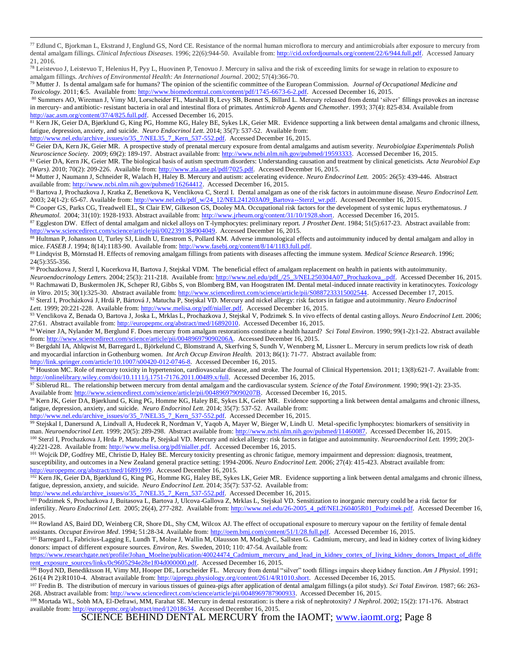<sup>77</sup> Edlund C, Bjorkman L, Ekstrand J, Englund GS, Nord CE. Resistance of the normal human microflora to mercury and antimicrobials after exposure to mercury from dental amalgam fillings. *Clinical Infectious Diseases.* 1996; 22(6):944-50. Available from[: http://cid.oxfordjournals.org/content/22/6/944.full.pdf.](http://cid.oxfordjournals.org/content/22/6/944.full.pdf) Accessed January 21, 2016.

<sup>78</sup> Leistevuo J, Leistevuo T, Helenius H, Pyy L, Huovinen P, Tenovuo J. Mercury in saliva and the risk of exceeding limits for sewage in relation to exposure to amalgam fillings. *Archives of Environmental Health: An International Journal*. 2002; 57(4):366-70.

<sup>79</sup> Mutter J. Is dental amalgam safe for humans? The opinion of the scientific committee of the European Commission. *Journal of Occupational Medicine and Toxicology.* 2011; **6**:5. Available from: [http://www.biomedcentral.com/content/pdf/1745-6673-6-2.pdf.](http://www.biomedcentral.com/content/pdf/1745-6673-6-2.pdf) Accessed December 16, 2015.

<sup>80</sup> Summers AO, Wireman J, Vimy MJ, Lorscheider FL, Marshall B, Levy SB, Bennet S, Billard L. Mercury released from dental 'silver' fillings provokes an increase in mercury- and antibiotic- resistant bacteria in oral and intestinal flora of primates. *Antimicrob Agents and Chemother*. 1993; 37(4): 825-834. Available from [http://aac.asm.org/content/37/4/825.full.pdf.](http://aac.asm.org/content/37/4/825.full.pdf) Accessed December 16, 2015.

81 Kern JK, Geier DA, Bjørklund G, King PG, Homme KG, Haley BE, Sykes LK, Geier MR. Evidence supporting a link between dental amalgams and chronic illness, fatigue, depression, anxiety, and suicide. *Neuro Endocrinol Lett.* 2014; 35(7): 537-52. Available from:

[http://www.nel.edu/archive\\_issues/o/35\\_7/NEL35\\_7\\_Kern\\_537-552.pdf.](http://www.nel.edu/archive_issues/o/35_7/NEL35_7_Kern_537-552.pdf) Accessed December 16, 2015.

 $\overline{a}$ 

<sup>82</sup> Geier DA, Kern JK, Geier MR. A prospective study of prenatal mercury exposure from dental amalgams and autism severity. *Neurobiolgiae Experimentals Polish Neuroscience Society.* 2009; 69(2): 189-197. Abstract available from: [http://www.ncbi.nlm.nih.gov/pubmed/19593333.](http://www.ncbi.nlm.nih.gov/pubmed/19593333) Accessed December 16, 2015.

<sup>83</sup> Geier DA, Kern JK, Geier MR. The biological basis of autism spectrum disorders: Understanding causation and treatment by clinical geneticists. *Acta Neurobiol Exp (Wars).* 2010; 70(2): 209-226. Available from[: http://www.zla.ane.pl/pdf/7025.pdf.](http://www.zla.ane.pl/pdf/7025.pdf) Accessed December 16, 2015.

<sup>84</sup> Mutter J, Naumann J, Schneider R, Walach H, Haley B. Mercury and autism: accelerating evidence. *Neuro Endocrinol Lett.* 2005: 26(5): 439-446. Abstract available from[: http://www.ncbi.nlm.nih.gov/pubmed/16264412.](http://www.ncbi.nlm.nih.gov/pubmed/16264412) Accessed December 16, 2015.

<sup>85</sup> Bartova J, Prochazkova J, Kratka Z, Benetkova K, Venclikova C, Sterzl I. Dental amalgam as one of the risk factors in autoimmune disease. *Neuro Endocrinol Lett.*  2003; 24(1-2): 65-67. Available from: [http://www.nel.edu/pdf\\_w/24\\_12/NEL241203A09\\_Bartova--Sterzl\\_wr.pdf.](http://www.nel.edu/pdf_w/24_12/NEL241203A09_Bartova--Sterzl_wr.pdf) Accessed December 16, 2015.

<sup>86</sup> Cooper GS, Parks CG, Treadwell EL, St Clair EW, Gilkeson GS, Dooley MA. Occupational risk factors for the development of systemic lupus erythematosus. *J Rheumatol.* 2004; 31(10): 1928-1933. Abstract available from: [http://www.jrheum.org/content/31/10/1928.short.](http://www.jrheum.org/content/31/10/1928.short) Accessed December 16, 2015.

<sup>87</sup> Eggleston DW. Effect of dental amalgam and nickel alloys on T-lymphocytes: preliminary report. *J Prosthet Dent*. 1984; 51(5):617-23. Abstract available from: [http://www.sciencedirect.com/science/article/pii/0022391384904049.](http://www.sciencedirect.com/science/article/pii/0022391384904049) Accessed December 16, 2015.

88 Hultman P, Johansson U, Turley SJ, Lindh U, Enestrom S, Pollard KM. Adverse immunological effects and autoimmunity induced by dental amalgam and alloy in mice. *FASEB J.* 1994; 8(14):1183-90. Available from: http://www.fasebj.org/content/8/14/1183.full.pdf.

<sup>89</sup> Lindqvist B, Mörnstad H. Effects of removing amalgam fillings from patients with diseases affecting the immune system. *Medical Science Research*. 1996;  $24(5):355-356.$ 

<sup>90</sup> Prochazkova J, Sterzl I, Kucerkova H, Bartova J, Stejskal VDM. The beneficial effect of amalgam replacement on health in patients with autoimmunity. *Neuroendocrinology Letters.* 2004; 25(3): 211-218. Available from[: http://www.nel.edu/pdf\\_/25\\_3/NEL250304A07\\_Prochazkova\\_.pdf.](http://www.nel.edu/pdf_/25_3/NEL250304A07_Prochazkova_.pdf) Accessed December 16, 2015. <sup>91</sup> Rachmawati D, Buskermolen JK, Scheper RJ, Gibbs S, von Blomberg BM, van Hoogstraten IM. Dental metal-induced innate reactivity in keratinocytes. *Toxicology in Vitro*. 2015; 30(1):325-30. Abstract available from: [http://www.sciencedirect.com/science/article/pii/S0887233315002544.](http://www.sciencedirect.com/science/article/pii/S0887233315002544) Accessed December 17, 2015. <sup>92</sup> Sterzl I, Procházková J, Hrdá P, Bártová J, Matucha P, Stejskal VD. Mercury and nickel allergy: risk factors in fatigue and autoimmunity. *Neuro Endocrinol*

Lett. 1999; 20:221-228. Available from[: http://www.melisa.org/pdf/nialler.pdf.](http://www.melisa.org/pdf/nialler.pdf) Accessed December 16, 2015.

<sup>93</sup> Venclikova Z, Benada O, Bartova J, Joska L, Mrklas L, Prochazkova J, Stejskal V, Podzimek S. In vivo effects of dental casting alloys. *Neuro Endocrinol Lett*. 2006; 27:61. Abstract available from: [http://europepmc.org/abstract/med/16892010.](http://europepmc.org/abstract/med/16892010) Accessed December 16, 2015.

<sup>94</sup> Weiner JA, Nylander M, Berglund F. Does mercury from amalgam restorations constitute a health hazard? *Sci Total Environ*. 1990; 99(1-2):1-22. Abstract available from: [http://www.sciencedirect.com/science/article/pii/004896979090206A.](http://www.sciencedirect.com/science/article/pii/004896979090206A) Accessed December 16, 2015.

95 Bergdahl IA, Ahlqwist M, Barregard L, Björkelund C, Blomstrand A, Skerfving S, Sundh V, Wennberg M, Lissner L. Mercury in serum predicts low risk of death and myocardial infarction in Gothenburg women. *Int Arch Occup Environ Health.* 2013; 86(1): 71-77. Abstract available from: [http://link.springer.com/article/10.1007/s00420-012-0746-8.](http://link.springer.com/article/10.1007/s00420-012-0746-8) Accessed December 16, 2015.

96 Houston MC. Role of mercury toxicity in hypertension, cardiovascular disease, and stroke. The Journal of Clinical Hypertension. 2011; 13(8):621-7. Available from: [http://onlinelibrary.wiley.com/doi/10.1111/j.1751-7176.2011.00489.x/full.](http://onlinelibrary.wiley.com/doi/10.1111/j.1751-7176.2011.00489.x/full) Accessed December 16, 2015.

<sup>97</sup> Siblerud RL. The relationship between mercury from dental amalgam and the cardiovascular system. *Science of the Total Environment.* 1990; 99(1-2): 23-35. Available from: [http://www.sciencedirect.com/science/article/pii/004896979090207B.](http://www.sciencedirect.com/science/article/pii/004896979090207B) Accessed December 16, 2015.

98 Kern JK, Geier DA, Bjørklund G, King PG, Homme KG, Haley BE, Sykes LK, Geier MR. Evidence supporting a link between dental amalgams and chronic illness, fatigue, depression, anxiety, and suicide. *Neuro Endocrinol Lett.* 2014; 35(7): 537-52. Available from:

[http://www.nel.edu/archive\\_issues/o/35\\_7/NEL35\\_7\\_Kern\\_537-552.pdf.](http://www.nel.edu/archive_issues/o/35_7/NEL35_7_Kern_537-552.pdf) Accessed December 16, 2015.

99 Stejskal I, Danersund A, Lindvall A, Hudecek R, Nordman V, Yaqob A, Mayer W, Bieger W, Lindh U. Metal-specific lymphocytes: biomarkers of sensitivity in man. *Neuroendocrinol Lett.* 1999; 20(5): 289-298. Abstract available from: [http://www.ncbi.nlm.nih.gov/pubmed/11460087.](http://www.ncbi.nlm.nih.gov/pubmed/11460087) Accessed December 16, 2015. <sup>100</sup> Sterzl I, Prochazkova J, Hrda P, Matucha P, Stejskal VD. Mercury and nickel allergy: risk factors in fatigue and autoimmunity. *Neuroendocrinol Lett.* 1999; 20(3- 4):221-228. Available from[: http://www.melisa.org/pdf/nialler.pdf.](http://www.melisa.org/pdf/nialler.pdf) Accessed December 16, 2015.

<sup>101</sup> Wojcik DP, Godfrey ME, Christie D, Haley BE. Mercury toxicity presenting as chronic fatigue, memory impairment and depression: diagnosis, treatment, susceptibility, and outcomes in a New Zealand general practice setting: 1994-2006. *Neuro Endocrinol Lett.* 2006; 27(4): 415-423. Abstract available from: [http://europepmc.org/abstract/med/16891999.](http://europepmc.org/abstract/med/16891999) Accessed December 16, 2015.

<sup>102</sup> Kern JK, Geier DA, Bjørklund G, King PG, Homme KG, Haley BE, Sykes LK, Geier MR. Evidence supporting a link between dental amalgams and chronic illness, fatigue, depression, anxiety, and suicide. *Neuro Endocrinol Lett.* 2014; 35(7): 537-52. Available from:

[http://www.nel.edu/archive\\_issues/o/35\\_7/NEL35\\_7\\_Kern\\_537-552.pdf.](http://www.nel.edu/archive_issues/o/35_7/NEL35_7_Kern_537-552.pdf) Accessed December 16, 2015.

<sup>103</sup> Podzimek S, Prochazkova J, Buitasova L, Bartova J, Ulcova-Gallova Z, Mrklas L, Stejskal VD. Sensitization to inorganic mercury could be a risk factor for infertility. *Neuro Endocrinol Lett.* 2005; 26(4), 277-282. Available from[: http://www.nel.edu/26-2005\\_4\\_pdf/NEL260405R01\\_Podzimek.pdf.](http://www.nel.edu/26-2005_4_pdf/NEL260405R01_Podzimek.pdf) Accessed December 16, 2015.

104 Rowland AS, Baird DD, Weinberg CR, Shore DL, Shy CM, Wilcox AJ. The effect of occupational exposure to mercury vapour on the fertility of female dental assistants. *Occupat Environ Med*. 1994; 51:28-34. Available from[: http://oem.bmj.com/content/51/1/28.full.pdf.](http://oem.bmj.com/content/51/1/28.full.pdf) Accessed December 16, 2015.

105 Barregard L, Fabricius-Lagging E, Lundh T, Molne J, Wallin M, Olausson M, Modigh C, Sallsten G. Cadmium, mercury, and lead in kidney cortex of living kidney donors: impact of different exposure sources. *Environ, Res.* Sweden, 2010; 110: 47-54. Available from:

[https://www.researchgate.net/profile/Johan\\_Moelne/publication/40024474\\_Cadmium\\_mercury\\_and\\_lead\\_in\\_kidney\\_cortex\\_of\\_living\\_kidney\\_donors\\_Impact\\_of\\_diffe](https://www.researchgate.net/profile/Johan_Moelne/publication/40024474_Cadmium_mercury_and_lead_in_kidney_cortex_of_living_kidney_donors_Impact_of_different_exposure_sources/links/0c9605294e28e1f04d000000.pdf) [rent\\_exposure\\_sources/links/0c9605294e28e1f04d000000.pdf.](https://www.researchgate.net/profile/Johan_Moelne/publication/40024474_Cadmium_mercury_and_lead_in_kidney_cortex_of_living_kidney_donors_Impact_of_different_exposure_sources/links/0c9605294e28e1f04d000000.pdf) Accessed December 16, 2015.

<sup>106</sup> Boyd ND, Benediktsson H, Vimy MJ, Hooper DE, Lorscheider FL. Mercury from dental "silver" tooth fillings impairs sheep kidney function. *Am J Physiol*. 1991; 261(4 Pt 2):R1010-4. Abstract available from: [http://ajpregu.physiology.org/content/261/4/R1010.short.](http://ajpregu.physiology.org/content/261/4/R1010.short) Accessed December 16, 2015.

<sup>107</sup> Fredin B. The distribution of mercury in various tissues of guinea-pigs after application of dental amalgam fillings (a pilot study). *Sci Total Environ.* 1987; 66: 263- 268. Abstract available from: [http://www.sciencedirect.com/science/article/pii/0048969787900933.](http://www.sciencedirect.com/science/article/pii/0048969787900933) Accessed December 16, 2015.

<sup>108</sup> Mortada WL, Sobh MA, El-Defrawi, MM, Farahat SE. Mercury in dental restoration: is there a risk of nephrotoxity? *J Nephrol*. 2002; 15(2): 171-176. Abstract available from[: http://europepmc.org/abstract/med/12018634.](http://europepmc.org/abstract/med/12018634) Accessed December 16, 2015.

SCIENCE BEHIND DENTAL MERCURY from the IAOMT; [www.iaomt.org;](http://www.iaomt.org/) Page 8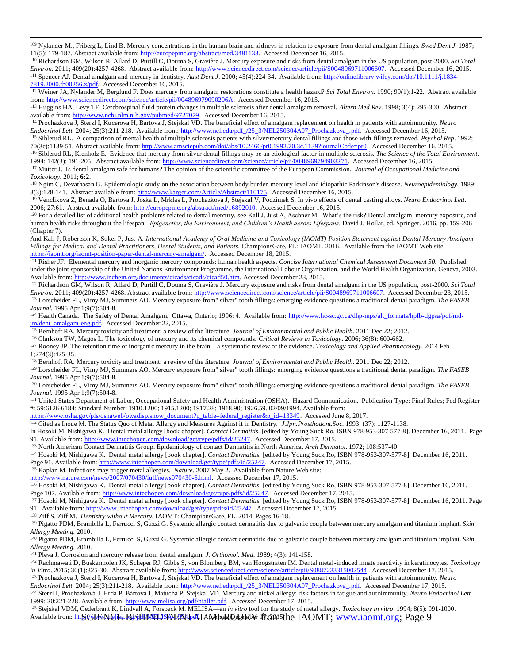<sup>109</sup> Nylander M., Friberg L, Lind B. Mercury concentrations in the human brain and kidneys in relation to exposure from dental amalgam fillings. *Swed Dent J.* 1987; 11(5): 179-187. Abstract available from: [http://europepmc.org/abstract/med/3481133.](http://europepmc.org/abstract/med/3481133) Accessed December 16, 2015.

<sup>110</sup> Richardson GM, Wilson R, Allard D, Purtill C, Douma S, Gravière J. Mercury exposure and risks from dental amalgam in the US population, post-2000. *Sci Total Environ.* 2011; 409(20):4257-4268. Abstract available from: [http://www.sciencedirect.com/science/article/pii/S0048969711006607.](http://www.sciencedirect.com/science/article/pii/S0048969711006607) Accessed December 16, 2015. <sup>111</sup> Spencer AJ. Dental amalgam and mercury in dentistry. *Aust Dent J.* 2000; 45(4):224-34. Available from[: http://onlinelibrary.wiley.com/doi/10.1111/j.1834-](http://onlinelibrary.wiley.com/doi/10.1111/j.1834-7819.2000.tb00256.x/pdf) [7819.2000.tb00256.x/pdf.](http://onlinelibrary.wiley.com/doi/10.1111/j.1834-7819.2000.tb00256.x/pdf) Accessed December 16, 2015.

<sup>112</sup> Weiner JA, Nylander M, Berglund F. Does mercury from amalgam restorations constitute a health hazard? *Sci Total Environ.* 1990; 99(1):1-22. Abstract available from: [http://www.sciencedirect.com/science/article/pii/004896979090206A.](http://www.sciencedirect.com/science/article/pii/004896979090206A) Accessed December 16, 2015.

<sup>113</sup> Huggins HA, Levy TE. Cerebrospinal fluid protein changes in multiple sclerosis after dental amalgam removal. *Altern Med Rev.* 1998; 3(4): 295-300. Abstract available from[: http://www.ncbi.nlm.nih.gov/pubmed/9727079.](http://www.ncbi.nlm.nih.gov/pubmed/9727079) Accessed December 16, 2015.

<sup>114</sup> Prochazkova J, Sterzl I, Kucerova H, Bartova J, Stejskal VD. The beneficial effect of amalgam replacement on health in patients with autoimmunity. *Neuro Endocrinol Lett.* 2004; 25(3):211-218. Available from: [http://www.nel.edu/pdf\\_/25\\_3/NEL250304A07\\_Prochazkova\\_.pdf.](http://www.nel.edu/pdf_/25_3/NEL250304A07_Prochazkova_.pdf) Accessed December 16, 2015. <sup>115</sup> Siblerud RL. A comparison of mental health of multiple sclerosis patients with silver/mercury dental fillings and those with fillings removed*. Psychol Rep*. 1992; 70(3c):1139-51. Abstract available from[: http://www.amsciepub.com/doi/abs/10.2466/pr0.1992.70.3c.1139?journalCode=pr0.](http://www.amsciepub.com/doi/abs/10.2466/pr0.1992.70.3c.1139?journalCode=pr0) Accessed December 16, 2015. <sup>116</sup> Siblerud RL, Kienholz E. Evidence that mercury from silver dental fillings may be an etiological factor in multiple sclerosis. *The Science of the Total Environment*. 1994; 142(3): 191-205. Abstract available from: [http://www.sciencedirect.com/science/article/pii/0048969794903271.](http://www.sciencedirect.com/science/article/pii/0048969794903271) Accessed December 16, 2015.

<sup>117</sup> Mutter J. Is dental amalgam safe for humans? The opinion of the scientific committee of the European Commission. *Journal of Occupational Medicine and Toxicology.* 2011; **6:**2.

<sup>118</sup> Ngim C, Devathasan G. Epidemiologic study on the association between body burden mercury level and idiopathic Parkinson's disease. *Neuroepidemiology.* 1989: 8(3):128-141. Abstract available from: [http://www.karger.com/Article/Abstract/110175.](http://www.karger.com/Article/Abstract/110175) Accessed December 16, 2015.

<sup>119</sup> Venclikova Z, Benada O, Bartova J, Joska L, Mrklas L, Prochazkova J, Stejskal V, Podzimek S. In vivo effects of dental casting alloys. *Neuro Endocrinol Lett*. 2006; 27:61. Abstract available from: [http://europepmc.org/abstract/med/16892010.](http://europepmc.org/abstract/med/16892010) Accessed December 16, 2015.

<sup>120</sup> For a detailed list of additional health problems related to dental mercury, see Kall J, Just A, Aschner M. What's the risk? Dental amalgam, mercury exposure, and human health risks throughout the lifespan. *Epigenetics, the Environment, and Children's Health across Lifespans*. David J. Hollar, ed. Springer. 2016. pp. 159-206 (Chapter 7).

And Kall J, Robertson K, Sukel P, Just A. International Academy of Oral Medicine and Toxicology (IAOMT) Position Statement against Dental Mercury Amalgam *Fillings for Medical and Dental Practitioners, Dental Students, and Patients.* ChampionsGate, FL: IAOMT. 2016. Available from the IAOMT Web site: [https://iaomt.org/iaomt-position-paper-dental-mercury-amalgam/.](https://iaomt.org/iaomt-position-paper-dental-mercury-amalgam/) Accessed December 18, 2015.

<sup>121</sup> Risher JF. Elemental mercury and inorganic mercury compounds: human health aspects. *Concise International Chemical Assessment Document 50.*Published under the joint sponsorship of the United Nations Environment Programme, the International Labour Organization, and the World Health Organization, Geneva, 2003. Available from: [http://www.inchem.org/documents/cicads/cicads/cicad50.htm.](http://www.inchem.org/documents/cicads/cicads/cicad50.htm) Accessed December 23, 2015.

<sup>122</sup> Richardson GM, Wilson R, Allard D, Purtill C, Douma S, Gravière J. Mercury exposure and risks from dental amalgam in the US population, post-2000. *Sci Total Environ.* 2011; 409(20):4257-4268. Abstract available from: [http://www.sciencedirect.com/science/article/pii/S0048969711006607.](http://www.sciencedirect.com/science/article/pii/S0048969711006607) Accessed December 23, 2015. <sup>123</sup> Lorscheider FL, Vimy MJ, Summers AO. Mercury exposure from" silver" tooth fillings: emerging evidence questions a traditional dental paradigm. *The FASEB Journal.* 1995 Apr 1;9(7):504-8.

<sup>124</sup> Health Canada. The Safety of Dental Amalgam. Ottawa, Ontario; 1996: 4. Available from: [http://www.hc-sc.gc.ca/dhp-mps/alt\\_formats/hpfb-dgpsa/pdf/md](http://www.hc-sc.gc.ca/dhp-mps/alt_formats/hpfb-dgpsa/pdf/md-im/dent_amalgam-eng.pdf)[im/dent\\_amalgam-eng.pdf.](http://www.hc-sc.gc.ca/dhp-mps/alt_formats/hpfb-dgpsa/pdf/md-im/dent_amalgam-eng.pdf) Accessed December 22, 2015.

<sup>125</sup> Bernhoft RA. Mercury toxicity and treatment: a review of the literature. *Journal of Environmental and Public Health*. 2011 Dec 22; 2012.

<sup>126</sup> Clarkson TW, Magos L. The toxicology of mercury and its chemical compounds. *Critical Reviews in Toxicology*. 2006; 36(8): 609-662.

<sup>127</sup> Rooney JP. The retention time of inorganic mercury in the brain—a systematic review of the evidence. *Toxicology and Applied Pharmacology.* 2014 Feb 1;274(3):425-35.

<sup>128</sup> Bernhoft RA. Mercury toxicity and treatment: a review of the literature. *Journal of Environmental and Public Health*. 2011 Dec 22; 2012.

<sup>129</sup> Lorscheider FL, Vimy MJ, Summers AO. Mercury exposure from" silver" tooth fillings: emerging evidence questions a traditional dental paradigm. *The FASEB Journal.* 1995 Apr 1;9(7):504-8.

<sup>130</sup> Lorscheider FL, Vimy MJ, Summers AO. Mercury exposure from" silver" tooth fillings: emerging evidence questions a traditional dental paradigm. *The FASEB Journal.* 1995 Apr 1;9(7):504-8.

<sup>131</sup> United States Department of Labor, Occupational Safety and Health Administration (OSHA). Hazard Communication. Publication Type: Final Rules; Fed Register #: 59:6126-6184; Standard Number: 1910.1200; 1915.1200; 1917.28; 1918.90; 1926.59. 02/09/1994. Available from:

[https://www.osha.gov/pls/oshaweb/owadisp.show\\_document?p\\_table=federal\\_register&p\\_id=13349.](https://www.osha.gov/pls/oshaweb/owadisp.show_document?p_table=federal_register&p_id=13349) Accessed June 8, 2017.

<sup>132</sup> Cited as Inoue M. The Status Quo of Metal Allergy and Measures Against it in Dentistry. *J.Jpn.Prosthodont.Soc.* 1993; (37): 1127-1138.

In Hosoki M, Nishigawa K. Dental metal allergy [book chapter]. *Contact Dermatitis.* [edited by Young Suck Ro, ISBN 978-953-307-577-8]. December 16, 2011. Page 91. Available from: [http://www.intechopen.com/download/get/type/pdfs/id/25247.](http://www.intechopen.com/download/get/type/pdfs/id/25247) Accessed December 17, 2015.

<sup>133</sup> North American Contact Dermatitis Group. Epidemiology of contact Dermatitis in North America. *Arch Dermatol*. 1972; 108:537-40.

<sup>134</sup> Hosoki M, Nishigawa K. Dental metal allergy [book chapter]. *Contact Dermatitis.* [edited by Young Suck Ro, ISBN 978-953-307-577-8]. December 16, 2011.

Page 91. Available from[: http://www.intechopen.com/download/get/type/pdfs/id/25247.](http://www.intechopen.com/download/get/type/pdfs/id/25247) Accessed December 17, 2015. <sup>135</sup> Kaplan M. Infections may trigger metal allergies. *Nature*. 2007 May 2. Available from Nature Web site:

[http://www.nature.com/news/2007/070430/full/news070430-6.html.](http://www.nature.com/news/2007/070430/full/news070430-6.html) Accessed December 17, 2015.

 $\overline{a}$ 

136 Hosoki M, Nishigawa K. Dental metal allergy [book chapter]. *Contact Dermatitis*. [edited by Young Suck Ro, ISBN 978-953-307-577-8]. December 16, 2011. Page 107. Available from[: http://www.intechopen.com/download/get/type/pdfs/id/25247.](http://www.intechopen.com/download/get/type/pdfs/id/25247) Accessed December 17, 2015.

<sup>137</sup> Hosoki M, Nishigawa K. Dental metal allergy [book chapter]. *Contact Dermatitis*. [edited by Young Suck Ro, ISBN 978-953-307-577-8]. December 16, 2011. Page 91. Available from: [http://www.intechopen.com/download/get/type/pdfs/id/25247.](http://www.intechopen.com/download/get/type/pdfs/id/25247) Accessed December 17, 2015.

<sup>138</sup> Ziff S, Ziff M. *Dentistry without Mercury.* IAOMT: ChampionsGate, FL. 2014. Pages 16-18.

<sup>139</sup> Pigatto PDM, Brambilla L, Ferrucci S, Guzzi G. Systemic allergic contact dermatitis due to galvanic couple between mercury amalgam and titanium implant. *Skin Allergy Meeting.* 2010.

<sup>140</sup> Pigatto PDM, Brambilla L, Ferrucci S, Guzzi G. Systemic allergic contact dermatitis due to galvanic couple between mercury amalgam and titanium implant. *Skin Allergy Meeting.* 2010.

<sup>141</sup> Pleva J. Corrosion and mercury release from dental amalgam. *J. Orthomol. Med*. 1989; 4(3): 141-158.

<sup>142</sup> Rachmawati D, Buskermolen JK, Scheper RJ, Gibbs S, von Blomberg BM, van Hoogstraten IM. Dental metal-induced innate reactivity in keratinocytes. *Toxicology in Vitro*. 2015; 30(1):325-30. Abstract available from: [http://www.sciencedirect.com/science/article/pii/S0887233315002544.](http://www.sciencedirect.com/science/article/pii/S0887233315002544) Accessed December 17, 2015.

<sup>143</sup> Prochazkova J, Sterzl I, Kucerova H, Bartova J, Stejskal VD. The beneficial effect of amalgam replacement on health in patients with autoimmunity. *Neuro Endocrinol Lett.* 2004; 25(3):211-218. Available from: [http://www.nel.edu/pdf\\_/25\\_3/NEL250304A07\\_Prochazkova\\_.pdf.](http://www.nel.edu/pdf_/25_3/NEL250304A07_Prochazkova_.pdf) Accessed December 17, 2015. <sup>144</sup> Sterzl I, Procházková J, Hrdá P, Bártová J, Matucha P, Stejskal VD. Mercury and nickel allergy: risk factors in fatigue and autoimmunity. *Neuro Endocrinol Lett.* 1999; 20:221-228. Available from: [http://www.melisa.org/pdf/nialler.pdf.](http://www.melisa.org/pdf/nialler.pdf) Accessed December 17, 2015.

Available from: http://www.clfa.bf.htmpDsDFAFaLAMEROURY from the IAOMT; [www.iaomt.org;](http://www.iaomt.org/) Page 9 <sup>145</sup> Stejskal VDM, Cederbrant K, Lindvall A, Forsbeck M. MELISA—an *in vitro* tool for the study of metal allergy. *Toxicology in vitro*. 1994; 8(5): 991-1000.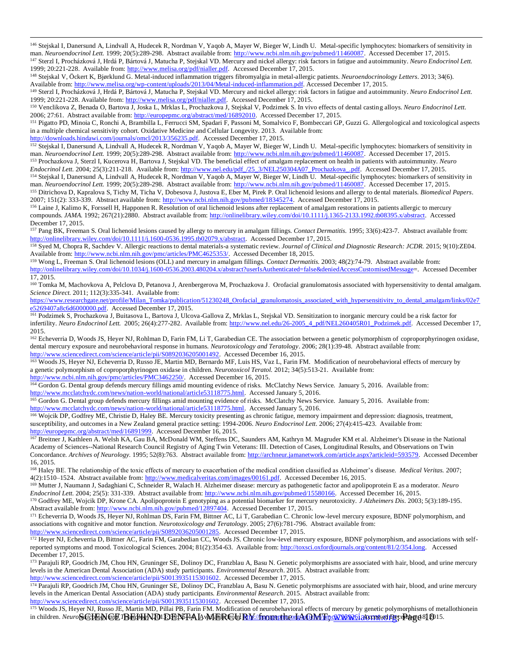<sup>146</sup> Stejskal I, Danersund A, Lindvall A, Hudecek R, Nordman V, Yaqob A, Mayer W, Bieger W, Lindh U. Metal-specific lymphocytes: biomarkers of sensitivity in man. *Neuroendocrinol Lett.* 1999; 20(5):289-298. Abstract available from: [http://www.ncbi.nlm.nih.gov/pubmed/11460087.](http://www.ncbi.nlm.nih.gov/pubmed/11460087) Accessed December 17, 2015. <sup>147</sup> Sterzl I, Procházková J, Hrdá P, Bártová J, Matucha P, Stejskal VD. Mercury and nickel allergy: risk factors in fatigue and autoimmunity. *Neuro Endocrinol Lett.* 1999; 20:221-228. Available from: [http://www.melisa.org/pdf/nialler.pdf.](http://www.melisa.org/pdf/nialler.pdf) Accessed December 17, 2015.

<sup>148</sup> Stejskal V, Öckert K, Bjørklund G. Metal-induced inflammation triggers fibromyalgia in metal-allergic patients. *Neuroendocrinology Letters*. 2013; 34(6). Available from: [http://www.melisa.org/wp-content/uploads/2013/04/Metal-induced-inflammation.pdf.](http://www.melisa.org/wp-content/uploads/2013/04/Metal-induced-inflammation.pdf) Accessed December 17, 2015.

<sup>149</sup> Sterzl I, Procházková J, Hrdá P, Bártová J, Matucha P, Stejskal VD. Mercury and nickel allergy: risk factors in fatigue and autoimmunity. *Neuro Endocrinol Lett.* 1999; 20:221-228. Available from: [http://www.melisa.org/pdf/nialler.pdf.](http://www.melisa.org/pdf/nialler.pdf) Accessed December 17, 2015.

<sup>150</sup> Venclikova Z, Benada O, Bartova J, Joska L, Mrklas L, Prochazkova J, Stejskal V, Podzimek S. In vivo effects of dental casting alloys. *Neuro Endocrinol Lett*. 2006; 27:61. Abstract available from: [http://europepmc.org/abstract/med/16892010.](http://europepmc.org/abstract/med/16892010) Accessed December 17, 2015.

<sup>151</sup> Pigatto PD, Minoia C, Ronchi A, Brambilla L, Ferrucci SM, Spadari F, Passoni M, Somalvico F, Bombeccari GP, Guzzi G. Allergological and toxicological aspects in a multiple chemical sensitivity cohort. Oxidative Medicine and Cellular Longevity. 2013. Available from:

[http://downloads.hindawi.com/journals/omcl/2013/356235.pdf.](http://downloads.hindawi.com/journals/omcl/2013/356235.pdf) Accessed December 17, 2015.

 $\overline{a}$ 

152 Stejskal I, Danersund A, Lindvall A, Hudecek R, Nordman V, Yaqob A, Mayer W, Bieger W, Lindh U. Metal-specific lymphocytes: biomarkers of sensitivity in man. *Neuroendocrinol Lett.* 1999; 20(5):289-298. Abstract available from: [http://www.ncbi.nlm.nih.gov/pubmed/11460087.](http://www.ncbi.nlm.nih.gov/pubmed/11460087) Accessed December 17, 2015. <sup>153</sup> Prochazkova J, Sterzl I, Kucerova H, Bartova J, Stejskal VD. The beneficial effect of amalgam replacement on health in patients with autoimmunity. *Neuro* 

*Endocrinol Lett.* 2004; 25(3):211-218. Available from: [http://www.nel.edu/pdf\\_/25\\_3/NEL250304A07\\_Prochazkova\\_.pdf.](http://www.nel.edu/pdf_/25_3/NEL250304A07_Prochazkova_.pdf) Accessed December 17, 2015. <sup>154</sup> Stejskal I, Danersund A, Lindvall A, Hudecek R, Nordman V, Yaqob A, Mayer W, Bieger W, Lindh U. Metal-specific lymphocytes: biomarkers of sensitivity in man. *Neuroendocrinol Lett.* 1999; 20(5):289-298. Abstract available from: [http://www.ncbi.nlm.nih.gov/pubmed/11460087.](http://www.ncbi.nlm.nih.gov/pubmed/11460087) Accessed December 17, 2015.

<sup>155</sup> Ditrichova D, Kapralova S, Tichy M, Ticha V, Dobesova J, Justova E, Eber M, Pirek P. Oral lichenoid lesions and allergy to dental materials. *Biomedical Papers*. 2007; 151(2): 333-339. Abstract available from: [http://www.ncbi.nlm.nih.gov/pubmed/18345274.](http://www.ncbi.nlm.nih.gov/pubmed/18345274) Accessed December 17, 2015.

156 Laine J, Kalimo K, Forssell H, Happonen R. Resolution of oral lichenoid lesions after replacement of amalgam restorations in patients allergic to mercury compounds. *JAMA.* 1992; 267(21):2880. Abstract available from[: http://onlinelibrary.wiley.com/doi/10.1111/j.1365-2133.1992.tb08395.x/abstract.](http://onlinelibrary.wiley.com/doi/10.1111/j.1365-2133.1992.tb08395.x/abstract) Accessed December 17, 2015.

<sup>157</sup> Pang BK, Freeman S. Oral lichenoid lesions caused by allergy to mercury in amalgam fillings. *Contact Dermatitis.* 1995; 33(6):423-7. Abstract available from: [http://onlinelibrary.wiley.com/doi/10.1111/j.1600-0536.1995.tb02079.x/abstract.](http://onlinelibrary.wiley.com/doi/10.1111/j.1600-0536.1995.tb02079.x/abstract) Accessed December 17, 2015.

158 Syed M, Chopra R, Sachdev V. Allergic reactions to dental materials-a systematic review. *Journal of Clinical and Diagnostic Research: JCDR*. 2015; 9(10):ZE04. Available from: [http://www.ncbi.nlm.nih.gov/pmc/articles/PMC4625353/.](http://www.ncbi.nlm.nih.gov/pmc/articles/PMC4625353/) Accessed December 18, 2015.

<sup>159</sup> Wong L, Freeman S. Oral lichenoid lesions (OLL) and mercury in amalgam fillings. *Contact Dermatitis.* 2003; 48(2):74-79. Abstract available from: [http://onlinelibrary.wiley.com/doi/10.1034/j.1600-0536.2003.480204.x/abstract?userIsAuthenticated=false&deniedAccessCustomisedMessage=](http://onlinelibrary.wiley.com/doi/10.1034/j.1600-0536.2003.480204.x/abstract?userIsAuthenticated=false&deniedAccessCustomisedMessage). Accessed December 17, 2015.

<sup>160</sup> Tomka M, Machovkova A, Pelclova D, Petanova J, Arenbergerova M, Prochazkova J. Orofacial granulomatosis associated with hypersensitivity to dental amalgam. *Science Direct.* 2011; 112(3):335-341. Available from:

[https://www.researchgate.net/profile/Milan\\_Tomka/publication/51230248\\_Orofacial\\_granulomatosis\\_associated\\_with\\_hypersensitivity\\_to\\_dental\\_amalgam/links/02e7](https://www.researchgate.net/profile/Milan_Tomka/publication/51230248_Orofacial_granulomatosis_associated_with_hypersensitivity_to_dental_amalgam/links/02e7e5269407a8c6d6000000.pdf) [e5269407a8c6d6000000.pdf.](https://www.researchgate.net/profile/Milan_Tomka/publication/51230248_Orofacial_granulomatosis_associated_with_hypersensitivity_to_dental_amalgam/links/02e7e5269407a8c6d6000000.pdf) Accessed December 17, 2015.

161 Podzimek S, Prochazkova J, Buitasova L, Bartova J, Ulcova-Gallova Z, Mrklas L, Stejskal VD. Sensitization to inorganic mercury could be a risk factor for infertility. *Neuro Endocrinol Lett.* 2005; 26(4):277-282. Available from: [http://www.nel.edu/26-2005\\_4\\_pdf/NEL260405R01\\_Podzimek.pdf.](http://www.nel.edu/26-2005_4_pdf/NEL260405R01_Podzimek.pdf) Accessed December 17, 2015.

162 Echeverria D, Woods JS, Heyer NJ, Rohlman D, Farin FM, Li T, Garabedian CE. The association between a genetic polymorphism of coproporphyrinogen oxidase, dental mercury exposure and neurobehavioral response in humans. *Neurotoxicology and Teratology*. 2006; 28(1):39-48. Abstract available from: [http://www.sciencedirect.com/science/article/pii/S0892036205001492.](http://www.sciencedirect.com/science/article/pii/S0892036205001492) Accessed December 16, 2015.

163 Woods JS, Heyer NJ, Echeverria D, Russo JE, Martin MD, Bernardo MF, Luis HS, Vaz L, Farin FM. Modification of neurobehavioral effects of mercury by a genetic polymorphism of coproporphyrinogen oxidase in children. *Neurotoxicol Teratol.* 2012; 34(5):513-21. Available from: [http://www.ncbi.nlm.nih.gov/pmc/articles/PMC3462250/.](http://www.ncbi.nlm.nih.gov/pmc/articles/PMC3462250/) Accessed December 16, 2015.

<sup>164</sup> Gordon G. Dental group defends mercury fillings amid mounting evidence of risks. McClatchy News Service. January 5, 2016. Available from: [http://www.mcclatchydc.com/news/nation-world/national/article53118775.html.](http://www.mcclatchydc.com/news/nation-world/national/article53118775.html) Accessed January 5, 2016.

165 Gordon G. Dental group defends mercury fillings amid mounting evidence of risks. McClatchy News Service. January 5, 2016. Available from: [http://www.mcclatchydc.com/news/nation-world/national/article53118775.html.](http://www.mcclatchydc.com/news/nation-world/national/article53118775.html) Accessed January 5, 2016.

166 Wojcik DP, Godfrey ME, Christie D, Haley BE. Mercury toxicity presenting as chronic fatigue, memory impairment and depression: diagnosis, treatment, susceptibility, and outcomes in a New Zealand general practice setting: 1994-2006. *Neuro Endocrinol Lett*. 2006; 27(4):415-423. Available from: [http://europepmc.org/abstract/med/16891999.](http://europepmc.org/abstract/med/16891999) Accessed December 16, 2015.

167 Breitner J, Kathleen A. Welsh KA, Gau BA, McDonald WM, Steffens DC, Saunders AM, Kathryn M. Magruder KM et al. Alzheimer's Disease in the National Academy of Sciences--National Research Council Registry of Aging Twin Veterans: III. Detection of Cases, Longitudinal Results, and Observations on Twin Concordance. Archives of Neurology. 1995; 52(8):763. Abstract available from[: http://archneur.jamanetwork.com/article.aspx?articleid=593579.](http://archneur.jamanetwork.com/article.aspx?articleid=593579) Accessed December 16, 2015.

<sup>168</sup> Haley BE. The relationship of the toxic effects of mercury to exacerbation of the medical condition classified as Alzheimer's disease. *Medical Veritas*. 2007; 4(2):1510–1524. Abstract available from[: http://www.medicalveritas.com/images/00161.pdf.](http://www.medicalveritas.com/images/00161.pdf) Accessed December 16, 2015.

<sup>169</sup> Mutter J, Naumann J, Sadaghiani C, Schneider R, Walach H. Alzheimer disease: mercury as pathogenetic factor and apolipoprotein E as a moderator. *Neuro Endocrinol Lett.* 2004; 25(5): 331-339. Abstract available from[: http://www.ncbi.nlm.nih.gov/pubmed/15580166.](http://www.ncbi.nlm.nih.gov/pubmed/15580166) Accessed December 16, 2015.

<sup>170</sup> Godfrey ME, Wojcik DP, Krone CA. Apolipoprotein E genotyping as a potential biomarker for mercury neurotoxicity. *J Alzheimers Dis.* 2003; 5(3):189-195. Abstract available from: [http://www.ncbi.nlm.nih.gov/pubmed/12897404.](http://www.ncbi.nlm.nih.gov/pubmed/12897404) Accessed December 17, 2015.

<sup>171</sup> Echeverria D, Woods JS, Heyer NJ, Rohlman DS, Farin FM, Bittner AC, Li T, Garabedian C. Chronic low-level mercury exposure, BDNF polymorphism, and associations with cognitive and motor function. *Neurotoxicology and Teratology*. 2005; 27(6):781-796. Abstract available from: [http://www.sciencedirect.com/science/article/pii/S0892036205001285.](http://www.sciencedirect.com/science/article/pii/S0892036205001285) Accessed December 17, 2015.

<sup>172</sup> Heyer NJ, Echeverria D, Bittner AC, Farin FM, Garabedian CC, Woods JS. Chronic low-level mercury exposure, BDNF polymorphism, and associations with selfreported symptoms and mood. Toxicological Sciences. 2004; 81(2):354-63. Available from: [http://toxsci.oxfordjournals.org/content/81/2/354.long.](http://toxsci.oxfordjournals.org/content/81/2/354.long) Accessed December 17, 2015.

173 Parajuli RP, Goodrich JM, Chou HN, Gruninger SE, Dolinoy DC, Franzblau A, Basu N. Genetic polymorphisms are associated with hair, blood, and urine mercury levels in the American Dental Association (ADA) study participants. *Environmental Research*. 2015. Abstract available from: [http://www.sciencedirect.com/science/article/pii/S0013935115301602.](http://www.sciencedirect.com/science/article/pii/S0013935115301602) Accessed December 17, 2015.

174 Parajuli RP, Goodrich JM, Chou HN, Gruninger SE, Dolinoy DC, Franzblau A, Basu N. Genetic polymorphisms are associated with hair, blood, and urine mercury levels in the American Dental Association (ADA) study participants. *Environmental Research*. 2015. Abstract available from:

[http://www.sciencedirect.com/science/article/pii/S0013935115301602.](http://www.sciencedirect.com/science/article/pii/S0013935115301602) Accessed December 17, 2015.

in children. *Neuro*SGHENGE/BE/HIND1DENFAAL WIERGU RY/from: the LAGM/Fip<u>oS795926. Accessed De</u>cePage 8 | Q15. 175 Woods JS, Heyer NJ, Russo JE, Martin MD, Pillai PB, Farin FM. Modification of neurobehavioral effects of mercury by genetic polymorphisms of metallothionein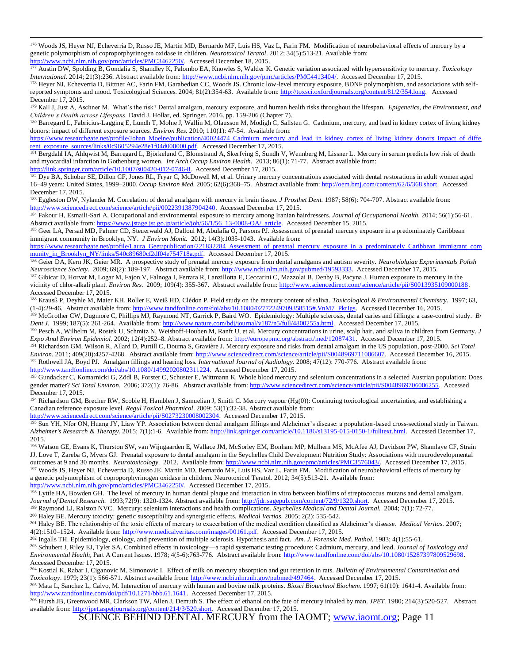176 Woods JS, Heyer NJ, Echeverria D, Russo JE, Martin MD, Bernardo MF, Luis HS, Vaz L, Farin FM. Modification of neurobehavioral effects of mercury by a genetic polymorphism of coproporphyrinogen oxidase in children. *Neurotoxicol Teratol*. 2012; 34(5):513-21. Available from: [http://www.ncbi.nlm.nih.gov/pmc/articles/PMC3462250/.](http://www.ncbi.nlm.nih.gov/pmc/articles/PMC3462250/) Accessed December 18, 2015.

<sup>177</sup> Austin DW, Spolding B, Gondalia S, Shandley K, Palombo EA, Knowles S, Walder K. Genetic variation associated with hypersensitivity to mercury. *Toxicology International*. 2014; 21(3):236. Abstract available from[: http://www.ncbi.nlm.nih.gov/pmc/articles/PMC4413404/.](http://www.ncbi.nlm.nih.gov/pmc/articles/PMC4413404/) Accessed December 17, 2015.

178 Heyer NJ, Echeverria D, Bittner AC, Farin FM, Garabedian CC, Woods JS. Chronic low-level mercury exposure, BDNF polymorphism, and associations with selfreported symptoms and mood. Toxicological Sciences. 2004; 81(2):354-63. Available from: [http://toxsci.oxfordjournals.org/content/81/2/354.long.](http://toxsci.oxfordjournals.org/content/81/2/354.long) Accessed December 17, 2015.

<sup>179</sup> Kall J, Just A, Aschner M. What's the risk? Dental amalgam, mercury exposure, and human health risks throughout the lifespan*. Epigenetics, the Environment, and Children's Health across Lifespans.* David J. Hollar, ed. Springer. 2016. pp. 159-206 (Chapter 7).

180 Barregard L, Fabricius-Lagging E, Lundh T, Molne J, Wallin M, Olausson M, Modigh C, Sallsten G. Cadmium, mercury, and lead in kidney cortex of living kidney donors: impact of different exposure sources. *Environ Res.* 2010; 110(1): 47-54. Available from:

[https://www.researchgate.net/profile/Johan\\_Moelne/publication/40024474\\_Cadmium\\_mercury\\_and\\_lead\\_in\\_kidney\\_cortex\\_of\\_living\\_kidney\\_donors\\_Impact\\_of\\_diffe](https://www.researchgate.net/profile/Johan_Moelne/publication/40024474_Cadmium_mercury_and_lead_in_kidney_cortex_of_living_kidney_donors_Impact_of_different_exposure_sources/links/0c9605294e28e1f04d000000.pdf) [rent\\_exposure\\_sources/links/0c9605294e28e1f04d000000.pdf.](https://www.researchgate.net/profile/Johan_Moelne/publication/40024474_Cadmium_mercury_and_lead_in_kidney_cortex_of_living_kidney_donors_Impact_of_different_exposure_sources/links/0c9605294e28e1f04d000000.pdf) Accessed December 17, 2015.

181 Bergdahl IA, Ahlqwist M, Barregard L, Björkelund C, Blomstrand A, Skerfving S, Sundh V, Wennberg M, Lissner L. Mercury in serum predicts low risk of death and myocardial infarction in Gothenburg women. *Int Arch Occup Environ Health.* 2013; 86(1): 71-77. Abstract available from:

[http://link.springer.com/article/10.1007/s00420-012-0746-8.](http://link.springer.com/article/10.1007/s00420-012-0746-8) Accessed December 17, 2015.

 $\overline{a}$ 

<sup>182</sup> Dye BA, Schober SE, Dillon CF, Jones RL, Fryar C, McDowell M, et al. Urinary mercury concentrations associated with dental restorations in adult women aged 16–49 years: United States, 1999–2000. *Occup Environ Med.* 2005; 62(6):368–75. Abstract available from[: http://oem.bmj.com/content/62/6/368.short.](http://oem.bmj.com/content/62/6/368.short) Accessed December 17, 2015.

<sup>183</sup> Eggleston DW, Nylander M. Correlation of dental amalgam with mercury in brain tissue. *J Prosthet Dent.* 1987; 58(6): 704-707. Abstract available from: [http://www.sciencedirect.com/science/article/pii/0022391387904240.](http://www.sciencedirect.com/science/article/pii/0022391387904240) Accessed December 17, 2015.

<sup>184</sup> Fakour H, Esmaili-Sari A. Occupational and environmental exposure to mercury among Iranian hairdressers. *Journal of Occupational Health.* 2014; 56(1):56-61. Abstract available from: [https://www.jstage.jst.go.jp/article/joh/56/1/56\\_13-0008-OA/\\_article.](https://www.jstage.jst.go.jp/article/joh/56/1/56_13-0008-OA/_article) Accessed December 15, 2015.

185 Geer LA, Persad MD, Palmer CD, Steuerwald AJ, Dalloul M, Abulafia O, Parsons PJ. Assessment of prenatal mercury exposure in a predominately Caribbean immigrant community in Brooklyn, NY. *J Environ Monit.* 2012; 14(3):1035-1043. Available from:

[https://www.researchgate.net/profile/Laura\\_Geer/publication/221832284\\_Assessment\\_of\\_prenatal\\_mercury\\_exposure\\_in\\_a\\_predominat](https://www.researchgate.net/profile/Laura_Geer/publication/221832284_Assessment_of_prenatal_mercury_exposure_in_a_predominately_Caribbean_immigrant_community_in_Brooklyn_NY/links/540c89680cf2df04e754718a.pdf) ely\_Caribbean\_immigrant\_com [munity\\_in\\_Brooklyn\\_NY/links/540c89680cf2df04e754718a.pdf.](https://www.researchgate.net/profile/Laura_Geer/publication/221832284_Assessment_of_prenatal_mercury_exposure_in_a_predominately_Caribbean_immigrant_community_in_Brooklyn_NY/links/540c89680cf2df04e754718a.pdf) Accessed December 17, 2015.

<sup>186</sup> Geier DA, Kern JK, Geier MR. A prospective study of prenatal mercury exposure from dental amalgams and autism severity. *Neurobiolgiae Experimentals Polish Neuroscience Society.* 2009; 69(2): 189-197. Abstract available from: [http://www.ncbi.nlm.nih.gov/pubmed/19593333.](http://www.ncbi.nlm.nih.gov/pubmed/19593333) Accessed December 17, 2015.

<sup>187</sup> Gibicar D, Horvat M, Logar M, Fajon V, Falnoga I, Ferrara R, Lanzillotta E, Ceccarini C, Mazzolai B, Denby B, Pacyna J. Human exposure to mercury in the vicinity of chlor-alkali plant. *Environ Res.* 2009; 109(4): 355-367. Abstract available from[: http://www.sciencedirect.com/science/article/pii/S0013935109000188.](http://www.sciencedirect.com/science/article/pii/S0013935109000188) Accessed December 17, 2015.

<sup>188</sup> Krausß P, Deyhle M, Maier KH, Roller E, Weiß HD, Clédon P. Field study on the mercury content of saliva. *Toxicological & Environmental Chemistry.* 1997; 63, (1-4):29-46. Abstract available from[: http://www.tandfonline.com/doi/abs/10.1080/02772249709358515#.VnM7\\_PkrIgs.](http://www.tandfonline.com/doi/abs/10.1080/02772249709358515#.VnM7_PkrIgs) Accessed December 16, 2015.

<sup>189</sup> McGrother CW, Dugmore C, Phillips MJ, Raymond NT, Garrick P, Baird WO. Epidemiology: Multiple sclerosis, dental caries and fillings: a case-control study. *Br Dent J.* 1999; 187(5): 261-264. Available from[: http://www.nature.com/bdj/journal/v187/n5/full/4800255a.html.](http://www.nature.com/bdj/journal/v187/n5/full/4800255a.html) Accessed December 17, 2015.

<sup>190</sup> Pesch A, Wilhelm M, Rostek U, Schmitz N, Weishoff-Houben M, Ranft U, et al. Mercury concentrations in urine, scalp hair, and saliva in children from Germany*. J Expo Anal Environ Epidemiol.* 2002; 12(4):252–8. Abstract available from[: http://europepmc.org/abstract/med/12087431.](http://europepmc.org/abstract/med/12087431) Accessed December 17, 2015.

<sup>191</sup> Richardson GM, Wilson R, Allard D, Purtill C, Douma S, Gravière J. Mercury exposure and risks from dental amalgam in the US population, post-2000. *Sci Total Environ.* 2011; 409(20):4257-4268. Abstract available from: [http://www.sciencedirect.com/science/article/pii/S0048969711006607.](http://www.sciencedirect.com/science/article/pii/S0048969711006607) Accessed December 16, 2015. <sup>192</sup> Rothwell JA, Boyd PJ. Amalgam fillings and hearing loss. *International Journal of Audiology.* 2008; 47(12): 770-776. Abstract available from: [http://www.tandfonline.com/doi/abs/10.1080/14992020802311224.](http://www.tandfonline.com/doi/abs/10.1080/14992020802311224) Accessed December 17, 2015.

<sup>193</sup> Gundacker C, Komarnicki G, Zödl B, Forster C, Schuster E, Wittmann K. Whole blood mercury and selenium concentrations in a selected Austrian population: Does gender matter? *Sci Total Environ.* 2006; 372(1): 76-86. Abstract available from[: http://www.sciencedirect.com/science/article/pii/S0048969706006255.](http://www.sciencedirect.com/science/article/pii/S0048969706006255) Accessed December 17, 2015.

<sup>194</sup> Richardson GM, Brecher RW, Scobie H, Hamblen J, Samuelian J, Smith C. Mercury vapour (Hg(0)): Continuing toxicological uncertainties, and establishing a Canadian reference exposure level. *Regul Toxicol Pharmicol*. 2009; 53(1):32-38. Abstract available from:

[http://www.sciencedirect.com/science/article/pii/S0273230008002304.](http://www.sciencedirect.com/science/article/pii/S0273230008002304) Accessed December 17, 2015.

<sup>195</sup> Sun YH, Nfor ON, Huang JY, Liaw YP. Association between dental amalgam fillings and Alzheimer's disease: a population-based cross-sectional study in Taiwan. *Alzheimer's Research & Therapy*. 2015; 7(1):1-6. Available from: [http://link.springer.com/article/10.1186/s13195-015-0150-1/fulltext.html.](http://link.springer.com/article/10.1186/s13195-015-0150-1/fulltext.html) Accessed December 17, 2015.

<sup>196</sup> Watson GE, Evans K, Thurston SW, van Wijngaarden E, Wallace JM, McSorley EM, Bonham MP, Mulhern MS, McAfee AJ, Davidson PW, Shamlaye CF, Strain JJ, Love T, Zareba G, Myers GJ. Prenatal exposure to dental amalgam in the Seychelles Child Development Nutrition Study: Associations with neurodevelopmental outcomes at 9 and 30 months. *Neurotoxicology.* 2012. Available from[: http://www.ncbi.nlm.nih.gov/pmc/articles/PMC3576043/.](http://www.ncbi.nlm.nih.gov/pmc/articles/PMC3576043/) Accessed December 17, 2015. <sup>197</sup> Woods JS, Heyer NJ, Echeverria D, Russo JE, Martin MD, Bernardo MF, Luis HS, Vaz L, Farin FM. Modification of neurobehavioral effects of mercury by

a genetic polymorphism of coproporphyrinogen oxidase in children. Neurotoxicol Teratol. 2012; 34(5):513-21. Available from: [http://www.ncbi.nlm.nih.gov/pmc/articles/PMC3462250/.](http://www.ncbi.nlm.nih.gov/pmc/articles/PMC3462250/) Accessed December 17, 2015.

<sup>198</sup> Lyttle HA, Bowden GH. The level of mercury in human dental plaque and interaction in vitro between biofilms of streptococcus mutans and dental amalgam. *Journal of Dental Research.* 1993;72(9): 1320-1324. Abstract available from: [http://jdr.sagepub.com/content/72/9/1320.short.](http://jdr.sagepub.com/content/72/9/1320.short) Accessed December 17, 2015. <sup>199</sup> Raymond LJ, Ralston NVC. Mercury: selenium interactions and health complications. *Seychelles Medical and Dental Journal.* 2004; 7(1): 72-77.

<sup>200</sup> Haley BE. Mercury toxicity: genetic susceptibility and synergistic effects. *Medical Vertias.* 2005; 2(2): 535-542.

<sup>201</sup> Haley BE. The relationship of the toxic effects of mercury to exacerbation of the medical condition classified as Alzheimer's disease. *Medical Veritas.* 2007; 4(2):1510–1524. Available from[: http://www.medicalveritas.com/images/00161.pdf.](http://www.medicalveritas.com/images/00161.pdf) Accessed December 17, 2015.

<sup>202</sup> Ingalls TH. Epidemiology, etiology, and prevention of multiple sclerosis. Hypothesis and fact*. Am. J. Forensic Med. Pathol.* 1983; 4(1):55-61. <sup>203</sup> Schubert J, Riley EJ, Tyler SA. Combined effects in toxicology—a rapid systematic testing procedure: Cadmium, mercury, and lead. *Journal of Toxicology and Environmental Health*, Part A Current Issues. 1978; 4(5-6):763-776. Abstract available from: [http://www.tandfonline.com/doi/abs/10.1080/15287397809529698.](http://www.tandfonline.com/doi/abs/10.1080/15287397809529698)  Accessed December 17, 2015.

<sup>204</sup> Kostial K, Rabar I, Ciganovic M, Simonovic I. Effect of milk on mercury absorption and gut retention in rats. *Bulletin of Environmental Contamination and Toxicology*. 1979; 23(1): 566-571. Abstract available from[: http://www.ncbi.nlm.nih.gov/pubmed/497464.](http://www.ncbi.nlm.nih.gov/pubmed/497464) Accessed December 17, 2015.

<sup>205</sup> Mata L, Sanchez L, Calvo, M. Interaction of mercury with human and bovine milk proteins*. Biosci Biotechnol Biochem.* 1997; 61(10): 1641-4. Available from: [http://www.tandfonline.com/doi/pdf/10.1271/bbb.61.1641.](http://www.tandfonline.com/doi/pdf/10.1271/bbb.61.1641) Accessed December 17, 2015.

<sup>206</sup> Hursh JB, Greenwood MR, Clarkson TW, Allen J, Demuth S. The effect of ethanol on the fate of mercury inhaled by man. *JPET*. 1980; 214(3):520-527. Abstract available from[: http://jpet.aspetjournals.org/content/214/3/520.short.](http://jpet.aspetjournals.org/content/214/3/520.short) Accessed December 17, 2015.

SCIENCE BEHIND DENTAL MERCURY from the IAOMT; [www.iaomt.org;](http://www.iaomt.org/) Page 11